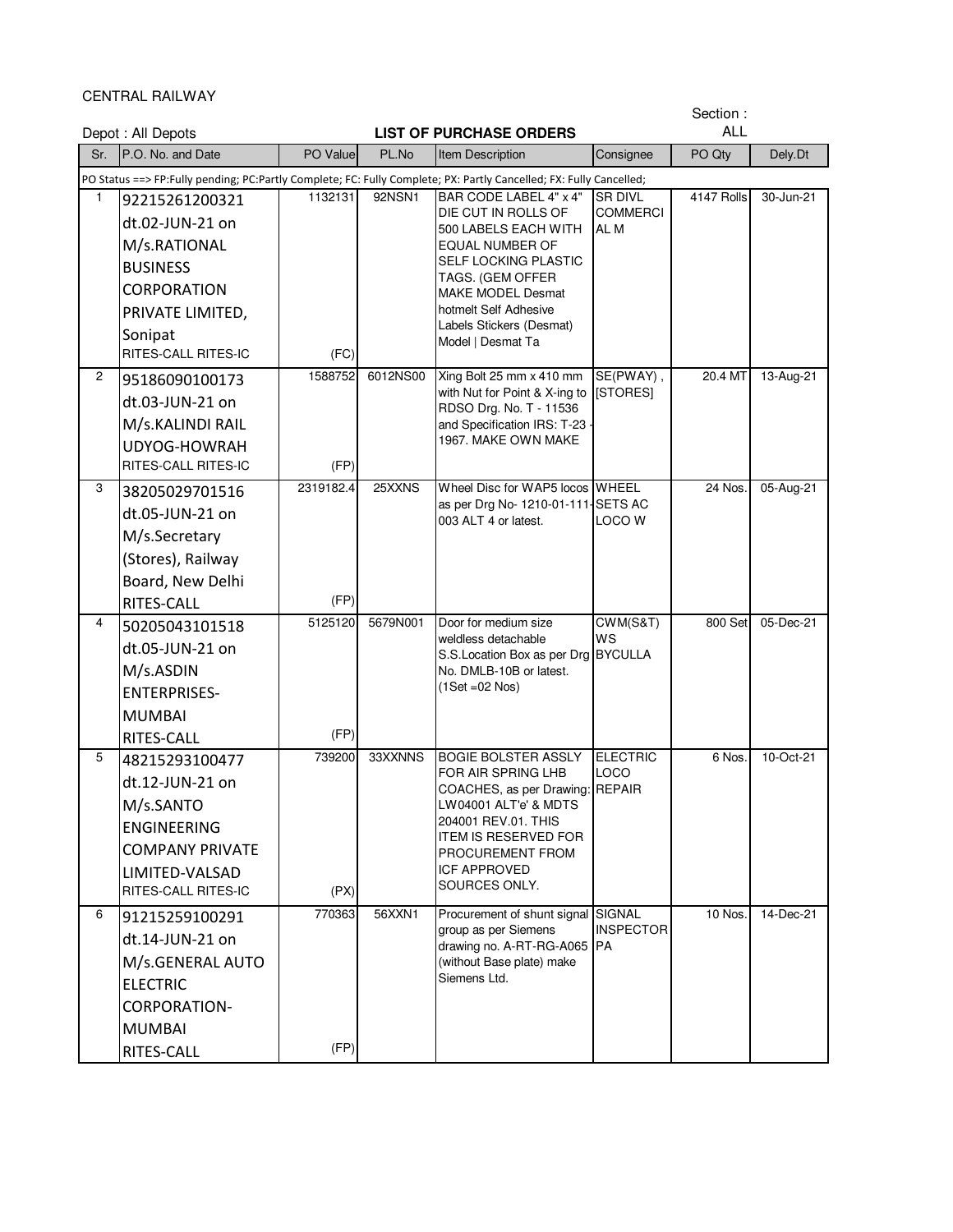CENTRAL RAILWAY

Section : ALL Sr. P.O. No. and Date PO Value PL.No Item Description Consignee PO Qty Dely.Dt 92215261200321 dt.02-JUN-21 on M/s.RATIONAL BUSINESS CORPORATION PRIVATE LIMITED, Sonipat 1132131 RITES-CALL RITES-IC (FC) 95186090100173 dt.03-JUN-21 on M/s.KALINDI RAIL UDYOG-HOWRAH 1588752 RITES-CALL RITES-IC (FP) 38205029701516 dt.05-JUN-21 on M/s.Secretary (Stores), Railway Board, New Delhi 2319182.4 RITES-CALL (FP) 50205043101518 4 5679N001 Door for medium size dt.05-JUN-21 on M/s.ASDIN ENTERPRISES-MUMBAI 5125120 RITES-CALL (FP) 48215293100477 5 33XXNNS BOGIE BOLSTER ASSLY dt.12-JUN-21 on M/s.SANTO ENGINEERING COMPANY PRIVATE LIMITED-VALSAD 739200 RITES-CALL RITES-IC (PX) 91215259100291 dt.14-JUN-21 on M/s.GENERAL AUTO ELECTRIC CORPORATION-MUMBAI 770363 RITES-CALL (FP) 14-Dec-21 10-Oct-21 6 **91215259100291** 770363 56XXN1 Procurement of shunt signal group as per Siemens drawing no. A-RT-RG-A065 (without Base plate) make Siemens Ltd. **SIGNAL INSPECTOR** PA 10 Nos. 05-Dec-21 FOR AIR SPRING LHB COACHES, as per Drawing: LW04001 ALT'e' & MDTS 204001 REV.01. THIS ITEM IS RESERVED FOR PROCUREMENT FROM ICF APPROVED SOURCES ONLY. ELECTRIC LOCO REPAIR 6 Nos. 05-Aug-21 weldless detachable S.S.Location Box as per Drg BYCULLA No. DMLB-10B or latest. (1Set =02 Nos) CWM(S&T) WS 800 Set 13-Aug-21 3 38205029701516 2319182.4 25XXNS Wheel Disc for WAP5 locos as per Drg No- 1210-01-111- SETS AC 003 ALT 4 or latest. WHEEL LOCO W 24 Nos. 30-Jun-21 2 95186090100173 1588752 6012NS00 Xing Bolt 25 mm x 410 mm with Nut for Point & X-ing to [STORES] RDSO Drg. No. T - 11536 and Specification IRS: T-23 1967. MAKE OWN MAKE SE(PWAY) , 20.4 MT 92NSN1 BAR CODE LABEL 4" x 4" DIE CUT IN ROLLS OF 500 LABELS EACH WITH EQUAL NUMBER OF SELF LOCKING PLASTIC TAGS. (GEM OFFER MAKE MODEL Desmat hotmelt Self Adhesive Labels Stickers (Desmat) Model | Desmat Ta SR DIVL **COMMERCI** AL M 4147 Rolls Depot : All Depots **LIST OF PURCHASE ORDERS**  PO Status ==> FP:Fully pending; PC:Partly Complete; FC: Fully Complete; PX: Partly Cancelled; FX: Fully Cancelled;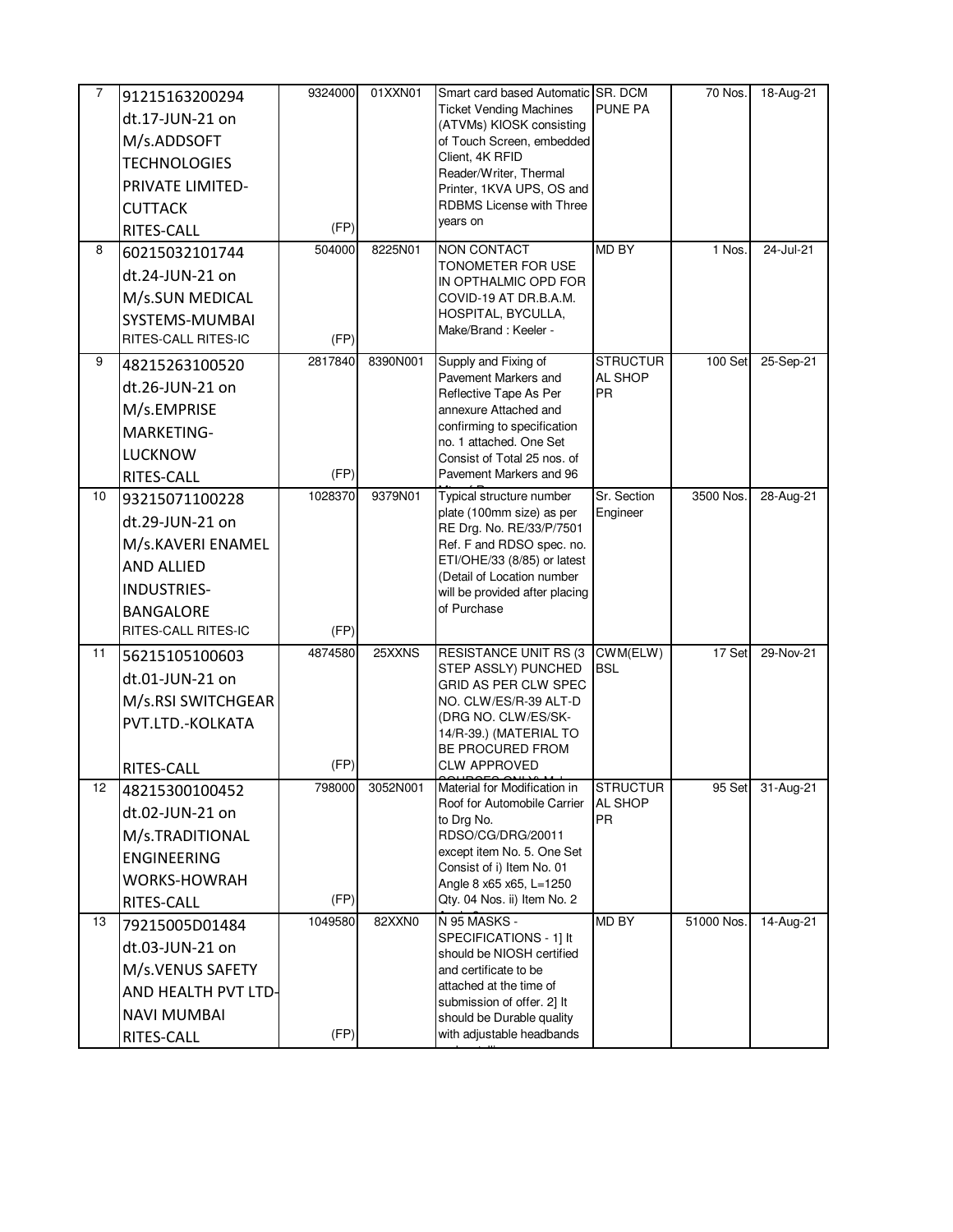| 7<br>8 | 91215163200294<br>dt.17-JUN-21 on<br>M/s.ADDSOFT<br><b>TECHNOLOGIES</b><br>PRIVATE LIMITED-<br><b>CUTTACK</b><br>RITES-CALL<br>60215032101744<br>dt.24-JUN-21 on<br>M/s.SUN MEDICAL<br>SYSTEMS-MUMBAI<br><b>RITES-CALL RITES-IC</b> | 9324000<br>(FP)<br>504000<br>(FP) | 01XXN01<br>8225N01 | Smart card based Automatic SR. DCM<br><b>Ticket Vending Machines</b><br>(ATVMs) KIOSK consisting<br>of Touch Screen, embedded<br>Client, 4K RFID<br>Reader/Writer, Thermal<br>Printer, 1KVA UPS, OS and<br><b>RDBMS License with Three</b><br>years on<br>NON CONTACT<br>TONOMETER FOR USE<br>IN OPTHALMIC OPD FOR<br>COVID-19 AT DR.B.A.M.<br>HOSPITAL, BYCULLA,<br>Make/Brand: Keeler - | <b>PUNE PA</b><br>MD BY                 | 70 Nos.<br>1 Nos. | 18-Aug-21<br>24-Jul-21 |
|--------|-------------------------------------------------------------------------------------------------------------------------------------------------------------------------------------------------------------------------------------|-----------------------------------|--------------------|-------------------------------------------------------------------------------------------------------------------------------------------------------------------------------------------------------------------------------------------------------------------------------------------------------------------------------------------------------------------------------------------|-----------------------------------------|-------------------|------------------------|
| 9      | 48215263100520<br>dt.26-JUN-21 on<br>M/s.EMPRISE<br>MARKETING-<br><b>LUCKNOW</b><br>RITES-CALL                                                                                                                                      | 2817840<br>(FP)                   | 8390N001           | Supply and Fixing of<br>Pavement Markers and<br>Reflective Tape As Per<br>annexure Attached and<br>confirming to specification<br>no. 1 attached. One Set<br>Consist of Total 25 nos, of<br>Pavement Markers and 96                                                                                                                                                                       | <b>STRUCTUR</b><br>AL SHOP<br><b>PR</b> | 100 Set           | 25-Sep-21              |
| 10     | 93215071100228<br>dt.29-JUN-21 on<br>M/s.KAVERI ENAMEL<br>AND ALLIED<br>INDUSTRIES-<br><b>BANGALORE</b><br>RITES-CALL RITES-IC                                                                                                      | 1028370<br>(FP)                   | 9379N01            | Typical structure number<br>plate (100mm size) as per<br>RE Drg. No. RE/33/P/7501<br>Ref. F and RDSO spec. no.<br>ETI/OHE/33 (8/85) or latest<br>(Detail of Location number<br>will be provided after placing<br>of Purchase                                                                                                                                                              | Sr. Section<br>Engineer                 | 3500 Nos.         | 28-Aug-21              |
| 11     | 56215105100603<br>dt.01-JUN-21 on<br>M/s.RSI SWITCHGEAR<br>PVT.LTD.-KOLKATA<br>RITES-CALL                                                                                                                                           | 4874580<br>(FP)                   | 25XXNS             | <b>RESISTANCE UNIT RS (3)</b><br>STEP ASSLY) PUNCHED<br>GRID AS PER CLW SPEC<br>NO. CLW/ES/R-39 ALT-D<br>(DRG NO. CLW/ES/SK-<br>14/R-39.) (MATERIAL TO<br><b>BE PROCURED FROM</b><br><b>CLW APPROVED</b>                                                                                                                                                                                  | CWM(ELW)<br><b>BSL</b>                  | 17 Set            | 29-Nov-21              |
| 12     | 48215300100452<br>dt.02-JUN-21 on<br>M/s.TRADITIONAL<br><b>ENGINEERING</b><br><b>WORKS-HOWRAH</b><br>RITES-CALL                                                                                                                     | 798000<br>(FP)                    | 3052N001           | Material for Modification in<br>Roof for Automobile Carrier<br>to Drg No.<br>RDSO/CG/DRG/20011<br>except item No. 5. One Set<br>Consist of i) Item No. 01<br>Angle 8 x65 x65, L=1250<br>Qty. 04 Nos. ii) Item No. 2                                                                                                                                                                       | <b>STRUCTUR</b><br>AL SHOP<br><b>PR</b> | 95 Set            | 31-Aug-21              |
| 13     | 79215005D01484<br>dt.03-JUN-21 on<br>M/s.VENUS SAFETY<br>AND HEALTH PVT LTD-<br><b>NAVI MUMBAI</b><br>RITES-CALL                                                                                                                    | 1049580<br>(FP)                   | 82XXN0             | N 95 MASKS -<br>SPECIFICATIONS - 1] It<br>should be NIOSH certified<br>and certificate to be<br>attached at the time of<br>submission of offer. 2] It<br>should be Durable quality<br>with adjustable headbands                                                                                                                                                                           | MD BY                                   | 51000 Nos.        | 14-Aug-21              |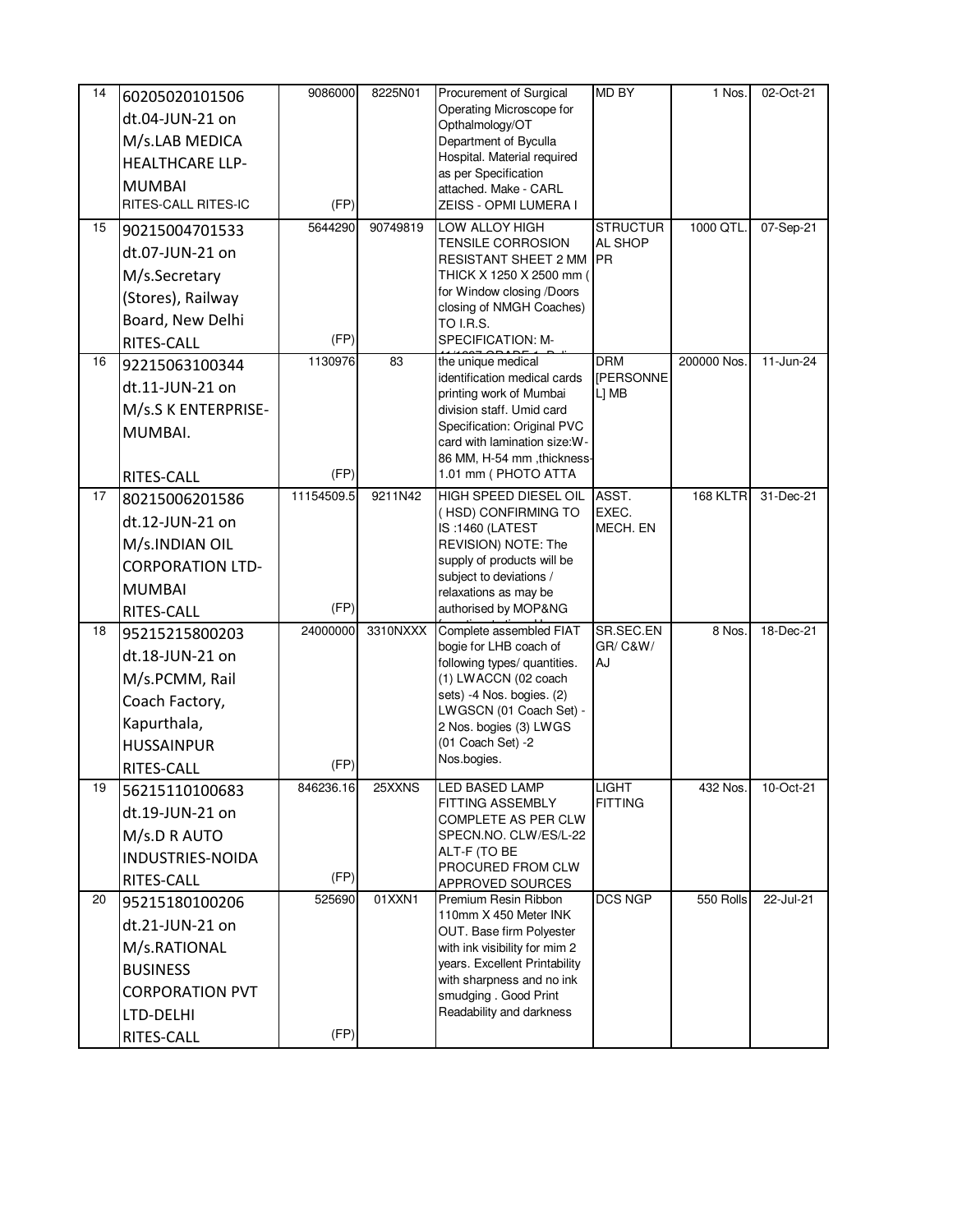| 14<br>15 | 60205020101506<br>dt.04-JUN-21 on<br>M/s.LAB MEDICA<br><b>HEALTHCARE LLP-</b><br><b>MUMBAI</b><br>RITES-CALL RITES-IC<br>90215004701533<br>dt.07-JUN-21 on<br>M/s.Secretary | 9086000<br>(FP)<br>5644290 | 8225N01<br>90749819 | Procurement of Surgical<br>Operating Microscope for<br>Opthalmology/OT<br>Department of Byculla<br>Hospital. Material required<br>as per Specification<br>attached. Make - CARL<br>ZEISS - OPMI LUMERA I<br>LOW ALLOY HIGH<br><b>TENSILE CORROSION</b><br><b>RESISTANT SHEET 2 MM</b><br>THICK X 1250 X 2500 mm ( | MD BY<br><b>STRUCTUR</b><br><b>AL SHOP</b><br><b>PR</b> | 1 Nos<br>1000 QTL | $02$ -Oct-21<br>07-Sep-21 |
|----------|-----------------------------------------------------------------------------------------------------------------------------------------------------------------------------|----------------------------|---------------------|-------------------------------------------------------------------------------------------------------------------------------------------------------------------------------------------------------------------------------------------------------------------------------------------------------------------|---------------------------------------------------------|-------------------|---------------------------|
|          | (Stores), Railway<br>Board, New Delhi<br>RITES-CALL                                                                                                                         | (FP)                       |                     | for Window closing /Doors<br>closing of NMGH Coaches)<br>TO I.R.S.<br><b>SPECIFICATION: M-</b>                                                                                                                                                                                                                    |                                                         |                   |                           |
| 16       | 92215063100344<br>dt.11-JUN-21 on<br>M/s.S K ENTERPRISE-<br>MUMBAI.<br>RITES-CALL                                                                                           | 1130976<br>(FP)            | 83                  | the unique medical<br>identification medical cards<br>printing work of Mumbai<br>division staff. Umid card<br>Specification: Original PVC<br>card with lamination size:W-<br>86 MM, H-54 mm, thickness-<br>1.01 mm (PHOTO ATTA                                                                                    | <b>DRM</b><br><b>IPERSONNE</b><br>L] MB                 | 200000 Nos        | 11-Jun-24                 |
| 17       | 80215006201586<br>dt.12-JUN-21 on<br>M/s.INDIAN OIL<br><b>CORPORATION LTD-</b><br><b>MUMBAI</b><br>RITES-CALL                                                               | 11154509.5<br>(FP)         | 9211N42             | HIGH SPEED DIESEL OIL<br>(HSD) CONFIRMING TO<br>IS:1460 (LATEST<br>REVISION) NOTE: The<br>supply of products will be<br>subject to deviations /<br>relaxations as may be<br>authorised by MOP&NG                                                                                                                  | ASST.<br>EXEC.<br>MECH. EN                              | 168 KLTR          | 31-Dec-21                 |
| 18       | 95215215800203<br>dt.18-JUN-21 on<br>M/s.PCMM, Rail<br>Coach Factory,<br>Kapurthala,<br><b>HUSSAINPUR</b><br>RITES-CALL                                                     | 24000000<br>(FP)           | 3310NXXX            | Complete assembled FIAT<br>bogie for LHB coach of<br>following types/ quantities.<br>(1) LWACCN (02 coach<br>sets) -4 Nos. bogies. (2)<br>LWGSCN (01 Coach Set) -<br>2 Nos. bogies (3) LWGS<br>(01 Coach Set) -2<br>Nos.bogies.                                                                                   | SR.SEC.EN<br>GR/ C&W/<br>AJ                             | 8 Nos.            | 18-Dec-21                 |
| 19       | 56215110100683<br>dt.19-JUN-21 on<br>M/s.D R AUTO<br>INDUSTRIES-NOIDA<br>RITES-CALL                                                                                         | 846236.16<br>(FP)          | 25XXNS              | <b>LED BASED LAMP</b><br>FITTING ASSEMBLY<br>COMPLETE AS PER CLW<br>SPECN.NO. CLW/ES/L-22<br>ALT-F (TO BE<br>PROCURED FROM CLW<br>APPROVED SOURCES                                                                                                                                                                | <b>LIGHT</b><br><b>FITTING</b>                          | 432 Nos.          | 10-Oct-21                 |
| 20       | 95215180100206<br>dt.21-JUN-21 on<br>M/s.RATIONAL<br><b>BUSINESS</b><br><b>CORPORATION PVT</b><br>LTD-DELHI<br>RITES-CALL                                                   | 525690<br>(FP)             | 01XXN1              | Premium Resin Ribbon<br>110mm X 450 Meter INK<br>OUT. Base firm Polyester<br>with ink visibility for mim 2<br>years. Excellent Printability<br>with sharpness and no ink<br>smudging . Good Print<br>Readability and darkness                                                                                     | <b>DCS NGP</b>                                          | 550 Rolls         | 22-Jul-21                 |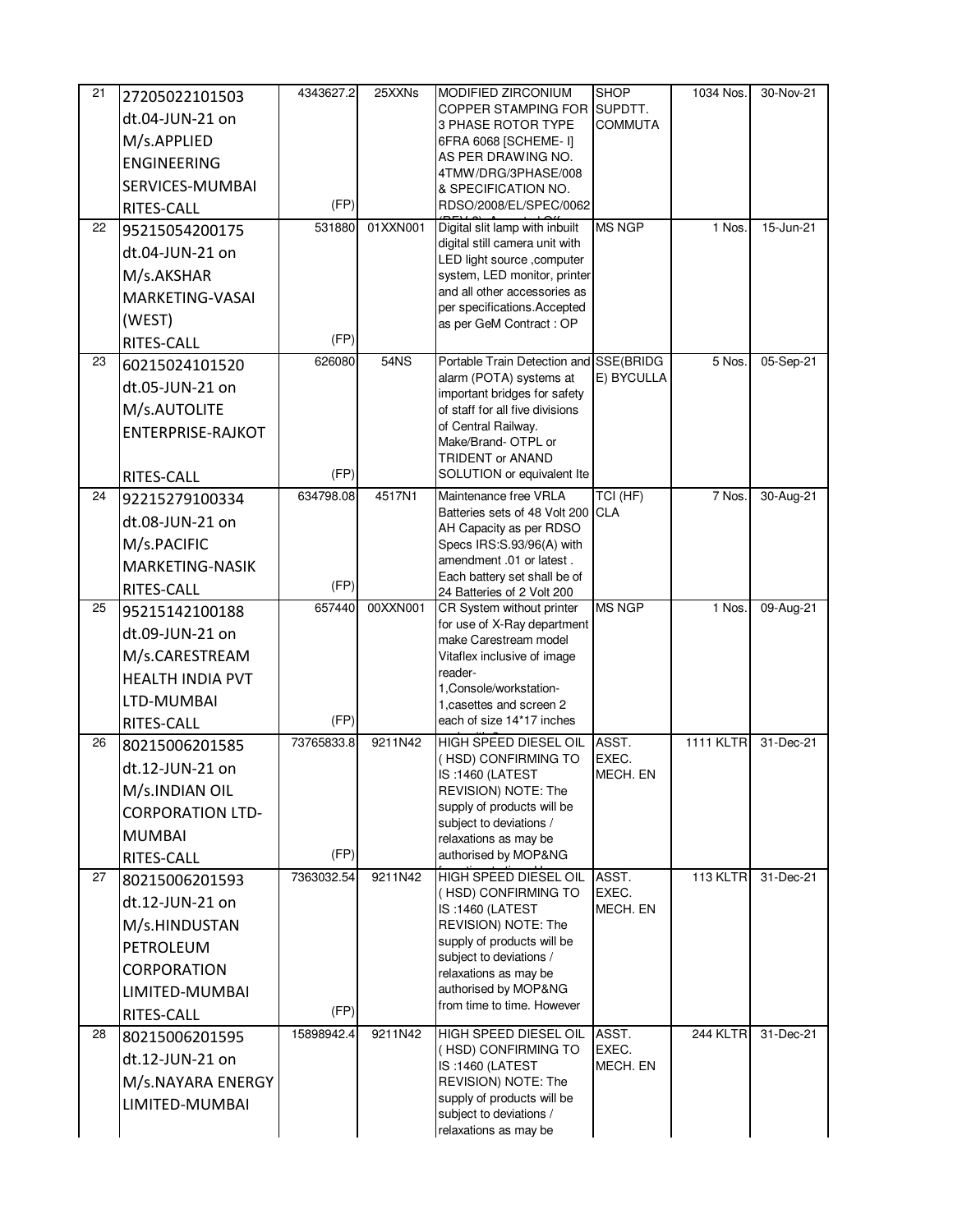| 21 | 27205022101503          | 4343627.2  | 25XXNs   | MODIFIED ZIRCONIUM                                         | <b>SHOP</b>       | 1034 Nos.        | 30-Nov-21 |
|----|-------------------------|------------|----------|------------------------------------------------------------|-------------------|------------------|-----------|
|    | dt.04-JUN-21 on         |            |          | COPPER STAMPING FOR SUPDTT.<br><b>3 PHASE ROTOR TYPE</b>   | <b>COMMUTA</b>    |                  |           |
|    | M/s.APPLIED             |            |          | 6FRA 6068 [SCHEME- I]                                      |                   |                  |           |
|    | <b>ENGINEERING</b>      |            |          | AS PER DRAWING NO.                                         |                   |                  |           |
|    | SERVICES-MUMBAI         |            |          | 4TMW/DRG/3PHASE/008<br>& SPECIFICATION NO.                 |                   |                  |           |
|    | RITES-CALL              | (FP)       |          | RDSO/2008/EL/SPEC/0062                                     |                   |                  |           |
| 22 | 95215054200175          | 531880     | 01XXN001 | Digital slit lamp with inbuilt                             | <b>MS NGP</b>     | 1 Nos.           | 15-Jun-21 |
|    | dt.04-JUN-21 on         |            |          | digital still camera unit with                             |                   |                  |           |
|    | M/s.AKSHAR              |            |          | LED light source, computer<br>system, LED monitor, printer |                   |                  |           |
|    | MARKETING-VASAI         |            |          | and all other accessories as                               |                   |                  |           |
|    |                         |            |          | per specifications.Accepted                                |                   |                  |           |
|    | (WEST)                  | (FP)       |          | as per GeM Contract: OP                                    |                   |                  |           |
| 23 | RITES-CALL              | 626080     | 54NS     | Portable Train Detection and SSE(BRIDG                     |                   | 5 Nos.           | 05-Sep-21 |
|    | 60215024101520          |            |          | alarm (POTA) systems at                                    | E) BYCULLA        |                  |           |
|    | dt.05-JUN-21 on         |            |          | important bridges for safety                               |                   |                  |           |
|    | M/s.AUTOLITE            |            |          | of staff for all five divisions<br>of Central Railway.     |                   |                  |           |
|    | ENTERPRISE-RAJKOT       |            |          | Make/Brand- OTPL or                                        |                   |                  |           |
|    |                         |            |          | TRIDENT or ANAND                                           |                   |                  |           |
|    | RITES-CALL              | (FP)       |          | SOLUTION or equivalent Ite                                 |                   |                  |           |
| 24 | 92215279100334          | 634798.08  | 4517N1   | Maintenance free VRLA<br>Batteries sets of 48 Volt 200 CLA | TCI (HF)          | 7 Nos.           | 30-Aug-21 |
|    | dt.08-JUN-21 on         |            |          | AH Capacity as per RDSO                                    |                   |                  |           |
|    | M/s.PACIFIC             |            |          | Specs IRS:S.93/96(A) with                                  |                   |                  |           |
|    | <b>MARKETING-NASIK</b>  |            |          | amendment .01 or latest.<br>Each battery set shall be of   |                   |                  |           |
|    | RITES-CALL              | (FP)       |          | 24 Batteries of 2 Volt 200                                 |                   |                  |           |
| 25 | 95215142100188          | 657440     | 00XXN001 | CR System without printer<br>for use of X-Ray department   | <b>MS NGP</b>     | 1 Nos            | 09-Aug-21 |
|    | dt.09-JUN-21 on         |            |          | make Carestream model                                      |                   |                  |           |
|    | M/s.CARESTREAM          |            |          | Vitaflex inclusive of image                                |                   |                  |           |
|    | <b>HEALTH INDIA PVT</b> |            |          | reader-<br>1.Console/workstation-                          |                   |                  |           |
|    | LTD-MUMBAI              |            |          | 1, casettes and screen 2                                   |                   |                  |           |
|    | RITES-CALL              | (FP)       |          | each of size 14*17 inches                                  |                   |                  |           |
| 26 | 80215006201585          | 73765833.8 | 9211N42  | <b>HIGH SPEED DIESEL OIL</b>                               | ASST.             | <b>1111 KLTR</b> | 31-Dec-21 |
|    | dt.12-JUN-21 on         |            |          | (HSD) CONFIRMING TO<br>IS:1460 (LATEST                     | EXEC.<br>MECH. EN |                  |           |
|    | M/s.INDIAN OIL          |            |          | REVISION) NOTE: The                                        |                   |                  |           |
|    | <b>CORPORATION LTD-</b> |            |          | supply of products will be                                 |                   |                  |           |
|    | <b>MUMBAI</b>           |            |          | subject to deviations /<br>relaxations as may be           |                   |                  |           |
|    | RITES-CALL              | (FP)       |          | authorised by MOP&NG                                       |                   |                  |           |
| 27 | 80215006201593          | 7363032.54 | 9211N42  | HIGH SPEED DIESEL OIL                                      | ASST.             | <b>113 KLTR</b>  | 31-Dec-21 |
|    | dt.12-JUN-21 on         |            |          | (HSD) CONFIRMING TO<br>IS:1460 (LATEST                     | EXEC.<br>MECH. EN |                  |           |
|    | M/s.HINDUSTAN           |            |          | REVISION) NOTE: The                                        |                   |                  |           |
|    | PETROLEUM               |            |          | supply of products will be                                 |                   |                  |           |
|    | <b>CORPORATION</b>      |            |          | subject to deviations /<br>relaxations as may be           |                   |                  |           |
|    | LIMITED-MUMBAI          |            |          | authorised by MOP&NG                                       |                   |                  |           |
|    | RITES-CALL              | (FP)       |          | from time to time. However                                 |                   |                  |           |
| 28 | 80215006201595          | 15898942.4 | 9211N42  | HIGH SPEED DIESEL OIL                                      | ASST.             | <b>244 KLTR</b>  | 31-Dec-21 |
|    | dt.12-JUN-21 on         |            |          | (HSD) CONFIRMING TO                                        | EXEC.             |                  |           |
|    | M/s.NAYARA ENERGY       |            |          | IS:1460 (LATEST<br>REVISION) NOTE: The                     | MECH. EN          |                  |           |
|    | LIMITED-MUMBAI          |            |          | supply of products will be                                 |                   |                  |           |
|    |                         |            |          | subject to deviations /<br>relaxations as may be           |                   |                  |           |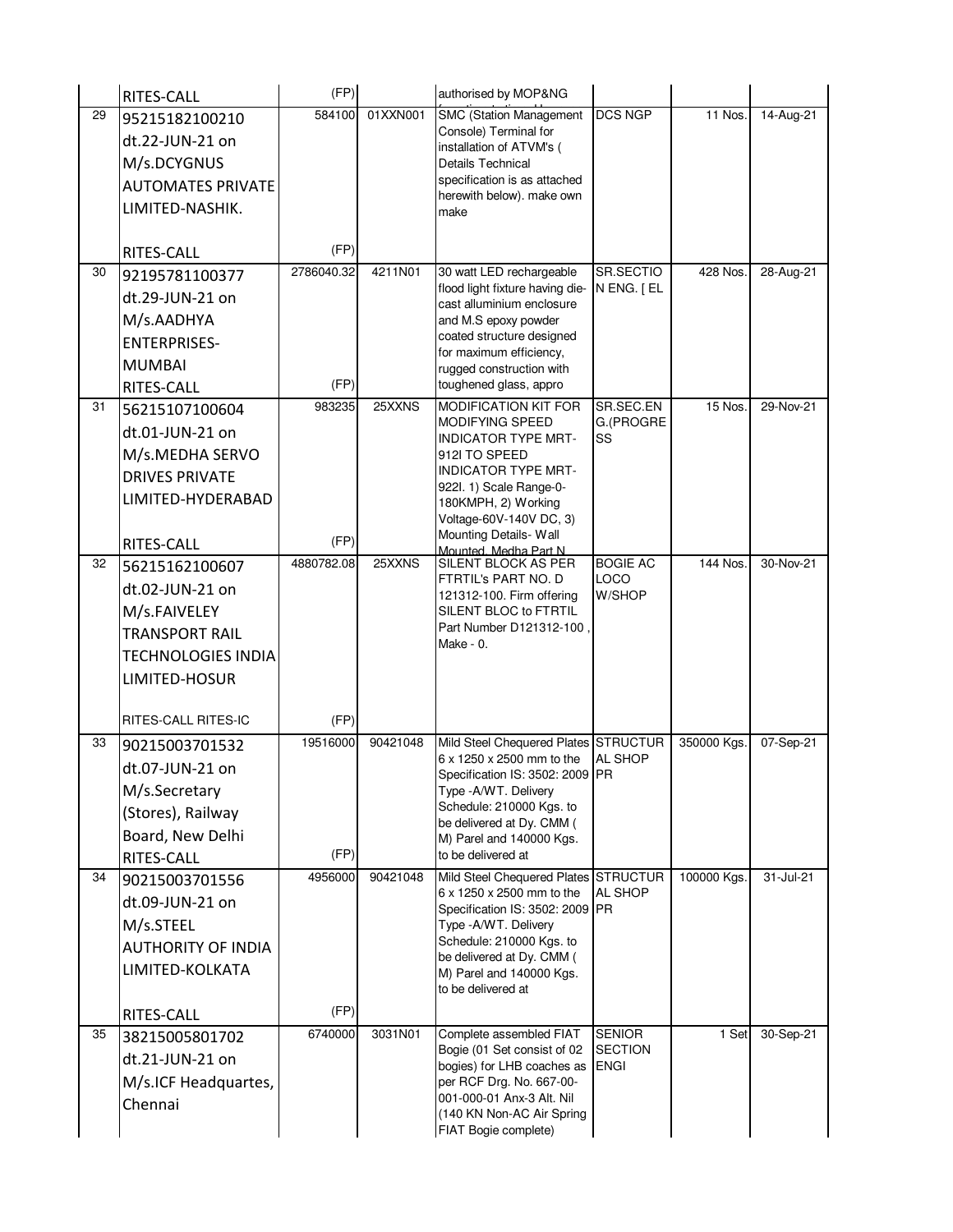|    | RITES-CALL                | (FP)       |          | authorised by MOP&NG                                     |                        |             |             |
|----|---------------------------|------------|----------|----------------------------------------------------------|------------------------|-------------|-------------|
| 29 | 95215182100210            | 584100     | 01XXN001 | <b>SMC</b> (Station Management                           | DCS NGP                | 11 Nos.     | 14-Aug-21   |
|    | dt.22-JUN-21 on           |            |          | Console) Terminal for<br>installation of ATVM's (        |                        |             |             |
|    | M/s.DCYGNUS               |            |          | <b>Details Technical</b>                                 |                        |             |             |
|    | <b>AUTOMATES PRIVATE</b>  |            |          | specification is as attached                             |                        |             |             |
|    | LIMITED-NASHIK.           |            |          | herewith below). make own                                |                        |             |             |
|    |                           |            |          | make                                                     |                        |             |             |
|    | RITES-CALL                | (FP)       |          |                                                          |                        |             |             |
| 30 | 92195781100377            | 2786040.32 | 4211N01  | 30 watt LED rechargeable                                 | SR.SECTIO              | 428 Nos.    | $28-Aug-21$ |
|    | dt.29-JUN-21 on           |            |          | flood light fixture having die-                          | N ENG. [EL             |             |             |
|    |                           |            |          | cast alluminium enclosure                                |                        |             |             |
|    | M/s.AADHYA                |            |          | and M.S epoxy powder<br>coated structure designed        |                        |             |             |
|    | <b>ENTERPRISES-</b>       |            |          | for maximum efficiency,                                  |                        |             |             |
|    | <b>MUMBAI</b>             |            |          | rugged construction with                                 |                        |             |             |
|    | RITES-CALL                | (FP)       |          | toughened glass, appro                                   |                        |             |             |
| 31 | 56215107100604            | 983235     | 25XXNS   | <b>MODIFICATION KIT FOR</b><br>MODIFYING SPEED           | SR.SEC.EN<br>G.(PROGRE | 15 Nos.     | 29-Nov-21   |
|    | dt.01-JUN-21 on           |            |          | <b>INDICATOR TYPE MRT-</b>                               | SS                     |             |             |
|    | M/s.MEDHA SERVO           |            |          | 912I TO SPEED                                            |                        |             |             |
|    | <b>DRIVES PRIVATE</b>     |            |          | <b>INDICATOR TYPE MRT-</b><br>922l. 1) Scale Range-0-    |                        |             |             |
|    | LIMITED-HYDERABAD         |            |          | 180KMPH, 2) Working                                      |                        |             |             |
|    |                           |            |          | Voltage-60V-140V DC, 3)                                  |                        |             |             |
|    | <b>RITES-CALL</b>         | (FP)       |          | Mounting Details- Wall<br>Mounted, Medha Part N          |                        |             |             |
| 32 | 56215162100607            | 4880782.08 | 25XXNS   | SILENT BLOCK AS PER                                      | <b>BOGIE AC</b>        | 144 Nos.    | 30-Nov-21   |
|    | dt.02-JUN-21 on           |            |          | FTRTIL's PART NO. D<br>121312-100. Firm offering         | LOCO<br>W/SHOP         |             |             |
|    | M/s.FAIVELEY              |            |          | SILENT BLOC to FTRTIL                                    |                        |             |             |
|    | <b>TRANSPORT RAIL</b>     |            |          | Part Number D121312-100.                                 |                        |             |             |
|    | <b>TECHNOLOGIES INDIA</b> |            |          | Make - 0.                                                |                        |             |             |
|    | LIMITED-HOSUR             |            |          |                                                          |                        |             |             |
|    |                           |            |          |                                                          |                        |             |             |
|    | RITES-CALL RITES-IC       | (FP)       |          |                                                          |                        |             |             |
| 33 | 90215003701532            | 19516000   | 90421048 | Mild Steel Chequered Plates STRUCTUR                     |                        | 350000 Kgs. | 07-Sep-21   |
|    | dt.07-JUN-21 on           |            |          | 6 x 1250 x 2500 mm to the                                | <b>AL SHOP</b>         |             |             |
|    | M/s.Secretary             |            |          | Specification IS: 3502: 2009 PR<br>Type - A/WT. Delivery |                        |             |             |
|    | (Stores), Railway         |            |          | Schedule: 210000 Kgs. to                                 |                        |             |             |
|    | Board, New Delhi          |            |          | be delivered at Dy. CMM (                                |                        |             |             |
|    | RITES-CALL                | (FP)       |          | M) Parel and 140000 Kgs.<br>to be delivered at           |                        |             |             |
| 34 | 90215003701556            | 4956000    | 90421048 | Mild Steel Chequered Plates STRUCTUR                     |                        | 100000 Kgs. | 31-Jul-21   |
|    | dt.09-JUN-21 on           |            |          | 6 x 1250 x 2500 mm to the                                | AL SHOP                |             |             |
|    | M/s.STEEL                 |            |          | Specification IS: 3502: 2009 PR<br>Type - A/WT. Delivery |                        |             |             |
|    | <b>AUTHORITY OF INDIA</b> |            |          | Schedule: 210000 Kgs. to                                 |                        |             |             |
|    |                           |            |          | be delivered at Dy. CMM (                                |                        |             |             |
|    | LIMITED-KOLKATA           |            |          | M) Parel and 140000 Kgs.<br>to be delivered at           |                        |             |             |
|    |                           | (FP)       |          |                                                          |                        |             |             |
| 35 | RITES-CALL                | 6740000    | 3031N01  | Complete assembled FIAT                                  | <b>SENIOR</b>          | 1 Set       | 30-Sep-21   |
|    | 38215005801702            |            |          | Bogie (01 Set consist of 02                              | <b>SECTION</b>         |             |             |
|    | dt.21-JUN-21 on           |            |          | bogies) for LHB coaches as                               | ENGI                   |             |             |
|    | M/s.ICF Headquartes,      |            |          | per RCF Drg. No. 667-00-<br>001-000-01 Anx-3 Alt. Nil    |                        |             |             |
|    | Chennai                   |            |          | (140 KN Non-AC Air Spring                                |                        |             |             |
|    |                           |            |          | FIAT Bogie complete)                                     |                        |             |             |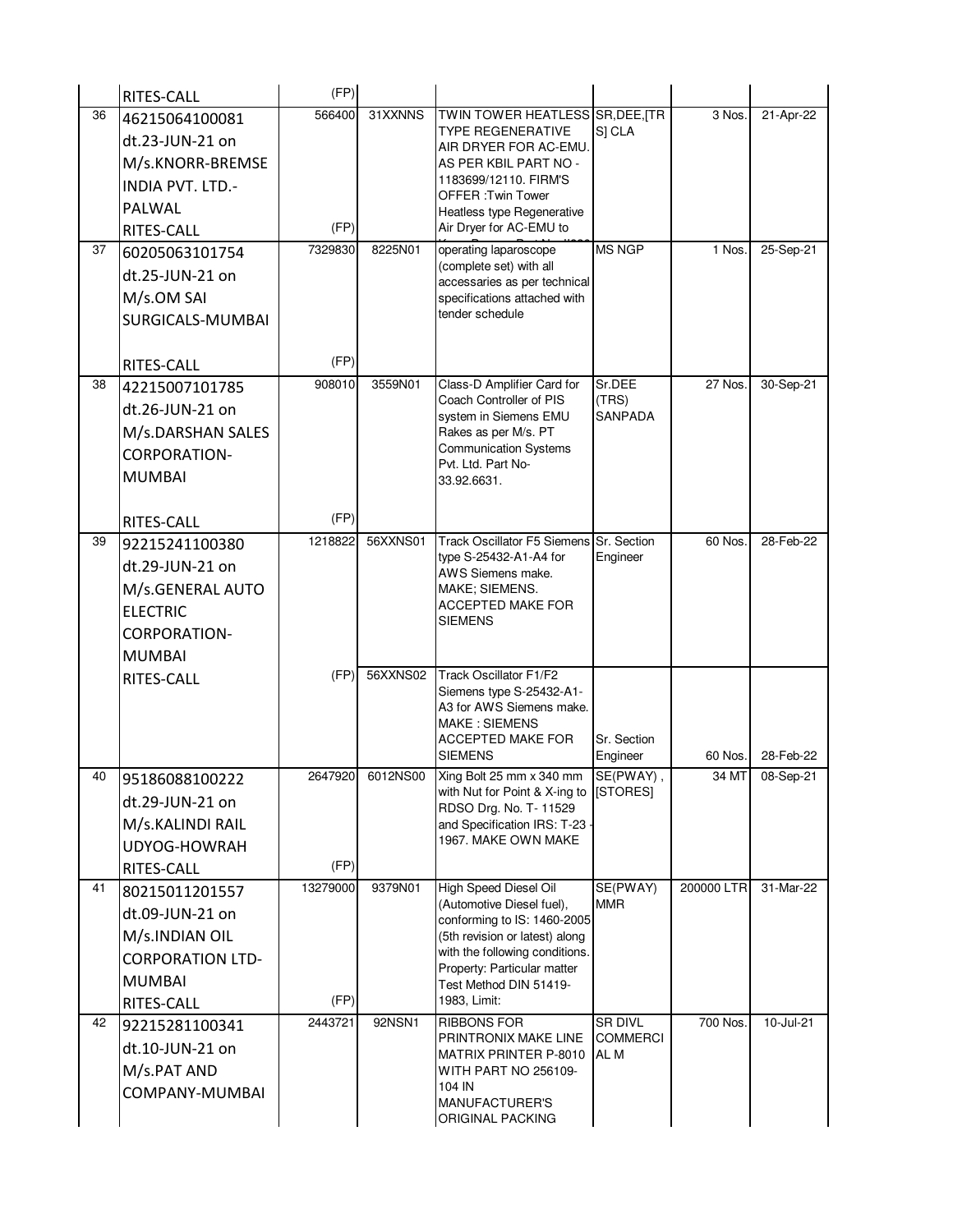|    | RITES-CALL              | (FP)     |          |                                                                  |                 |            |           |
|----|-------------------------|----------|----------|------------------------------------------------------------------|-----------------|------------|-----------|
| 36 | 46215064100081          | 566400   | 31XXNNS  | TWIN TOWER HEATLESS SR, DEE, [TR                                 |                 | 3 Nos.     | 21-Apr-22 |
|    | dt.23-JUN-21 on         |          |          | <b>TYPE REGENERATIVE</b><br>AIR DRYER FOR AC-EMU.                | S] CLA          |            |           |
|    | M/s.KNORR-BREMSE        |          |          | AS PER KBIL PART NO -                                            |                 |            |           |
|    | <b>INDIA PVT. LTD.-</b> |          |          | 1183699/12110, FIRM'S                                            |                 |            |           |
|    | PALWAL                  |          |          | OFFER :Twin Tower                                                |                 |            |           |
|    | RITES-CALL              | (FP)     |          | Heatless type Regenerative<br>Air Dryer for AC-EMU to            |                 |            |           |
| 37 | 60205063101754          | 7329830  | 8225N01  | operating laparoscope                                            | <b>MS NGP</b>   | 1 Nos.     | 25-Sep-21 |
|    | dt.25-JUN-21 on         |          |          | (complete set) with all                                          |                 |            |           |
|    | M/s.OM SAI              |          |          | accessaries as per technical<br>specifications attached with     |                 |            |           |
|    |                         |          |          | tender schedule                                                  |                 |            |           |
|    | SURGICALS-MUMBAI        |          |          |                                                                  |                 |            |           |
|    | RITES-CALL              | (FP)     |          |                                                                  |                 |            |           |
| 38 | 42215007101785          | 908010   | 3559N01  | Class-D Amplifier Card for                                       | Sr.DEE          | 27 Nos.    | 30-Sep-21 |
|    | dt.26-JUN-21 on         |          |          | Coach Controller of PIS                                          | (TRS)           |            |           |
|    | M/s.DARSHAN SALES       |          |          | system in Siemens EMU<br>Rakes as per M/s. PT                    | <b>SANPADA</b>  |            |           |
|    | <b>CORPORATION-</b>     |          |          | <b>Communication Systems</b>                                     |                 |            |           |
|    | <b>MUMBAI</b>           |          |          | Pvt. Ltd. Part No-                                               |                 |            |           |
|    |                         |          |          | 33.92.6631.                                                      |                 |            |           |
|    | RITES-CALL              | (FP)     |          |                                                                  |                 |            |           |
| 39 | 92215241100380          | 1218822  | 56XXNS01 | Track Oscillator F5 Siemens Sr. Section                          |                 | 60 Nos.    | 28-Feb-22 |
|    | dt.29-JUN-21 on         |          |          | type S-25432-A1-A4 for                                           | Engineer        |            |           |
|    | M/s.GENERAL AUTO        |          |          | AWS Siemens make.<br>MAKE; SIEMENS.                              |                 |            |           |
|    | <b>ELECTRIC</b>         |          |          | <b>ACCEPTED MAKE FOR</b>                                         |                 |            |           |
|    | <b>CORPORATION-</b>     |          |          | <b>SIEMENS</b>                                                   |                 |            |           |
|    | <b>MUMBAI</b>           |          |          |                                                                  |                 |            |           |
|    | RITES-CALL              | (FP)     | 56XXNS02 | Track Oscillator F1/F2                                           |                 |            |           |
|    |                         |          |          | Siemens type S-25432-A1-                                         |                 |            |           |
|    |                         |          |          | A3 for AWS Siemens make.<br><b>MAKE: SIEMENS</b>                 |                 |            |           |
|    |                         |          |          | <b>ACCEPTED MAKE FOR</b>                                         | Sr. Section     |            |           |
|    |                         |          |          | <b>SIEMENS</b>                                                   | Engineer        | 60 Nos.    | 28-Feb-22 |
| 40 | 95186088100222          | 2647920  | 6012NS00 | Xing Bolt 25 mm x 340 mm                                         | SE(PWAY),       | 34 MT      | 08-Sep-21 |
|    | dt.29-JUN-21 on         |          |          | with Nut for Point & X-ing to [STORES]<br>RDSO Drg. No. T- 11529 |                 |            |           |
|    | M/s.KALINDI RAIL        |          |          | and Specification IRS: T-23                                      |                 |            |           |
|    | UDYOG-HOWRAH            |          |          | 1967. MAKE OWN MAKE                                              |                 |            |           |
|    | RITES-CALL              | (FP)     |          |                                                                  |                 |            |           |
| 41 | 80215011201557          | 13279000 | 9379N01  | High Speed Diesel Oil                                            | SE(PWAY)        | 200000 LTR | 31-Mar-22 |
|    | dt.09-JUN-21 on         |          |          | (Automotive Diesel fuel),<br>conforming to IS: 1460-2005         | <b>MMR</b>      |            |           |
|    | M/s.INDIAN OIL          |          |          | (5th revision or latest) along                                   |                 |            |           |
|    | <b>CORPORATION LTD-</b> |          |          | with the following conditions.                                   |                 |            |           |
|    | <b>MUMBAI</b>           |          |          | Property: Particular matter<br>Test Method DIN 51419-            |                 |            |           |
|    | RITES-CALL              | (FP)     |          | 1983, Limit:                                                     |                 |            |           |
| 42 | 92215281100341          | 2443721  | 92NSN1   | <b>RIBBONS FOR</b>                                               | <b>SR DIVL</b>  | 700 Nos.   | 10-Jul-21 |
|    | dt.10-JUN-21 on         |          |          | PRINTRONIX MAKE LINE                                             | <b>COMMERCI</b> |            |           |
|    | M/s.PAT AND             |          |          | MATRIX PRINTER P-8010<br>WITH PART NO 256109-                    | AL M            |            |           |
|    | COMPANY-MUMBAI          |          |          | 104 IN                                                           |                 |            |           |
|    |                         |          |          | MANUFACTURER'S<br>ORIGINAL PACKING                               |                 |            |           |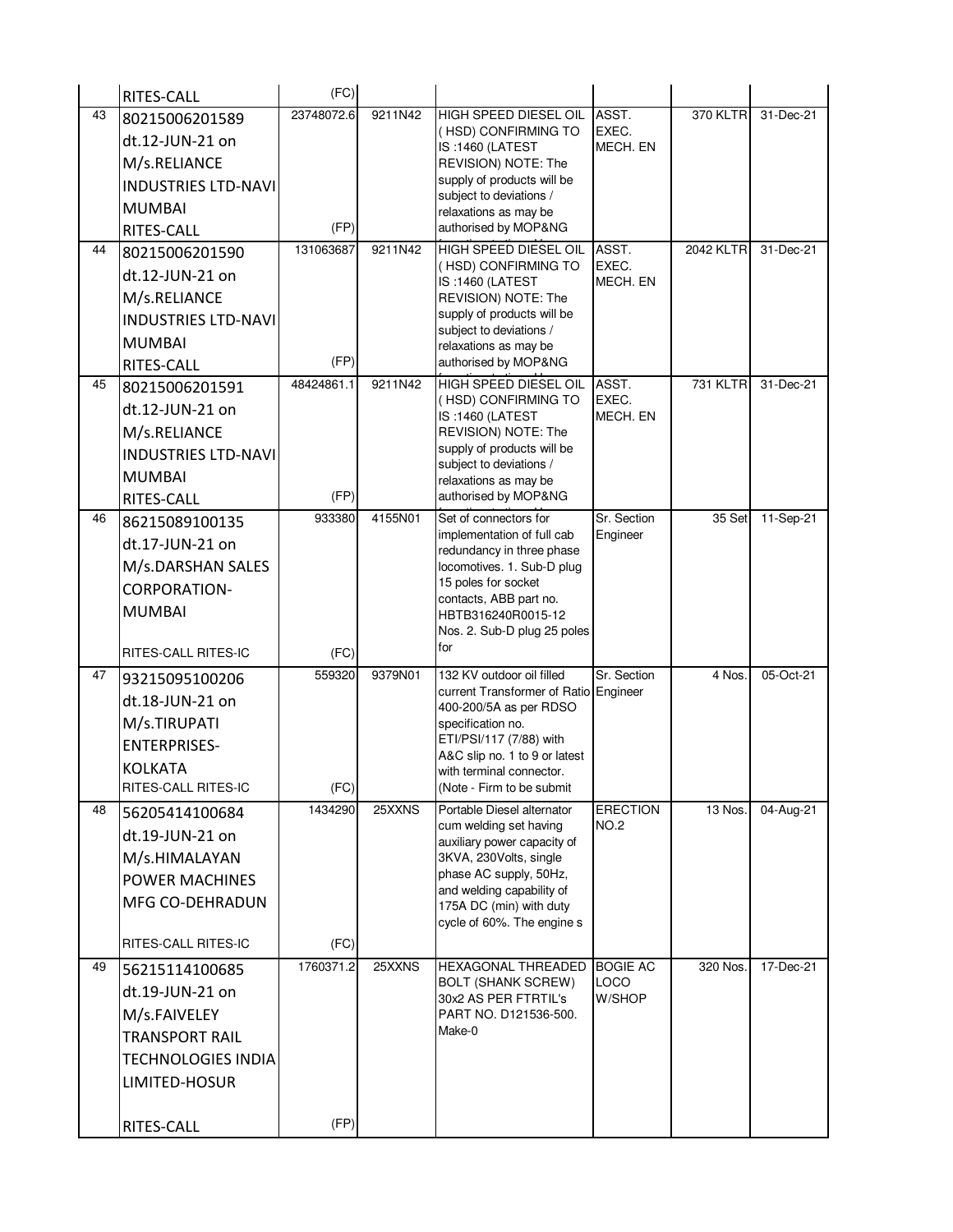|    | <b>RITES-CALL</b>          | (FC)              |         |                                                                    |                                |                 |           |
|----|----------------------------|-------------------|---------|--------------------------------------------------------------------|--------------------------------|-----------------|-----------|
| 43 | 80215006201589             | 23748072.6        | 9211N42 | HIGH SPEED DIESEL OIL                                              | ASST.                          | 370 KLTR        | 31-Dec-21 |
|    | dt.12-JUN-21 on            |                   |         | (HSD) CONFIRMING TO<br>IS:1460 (LATEST                             | EXEC.<br>MECH. EN              |                 |           |
|    | M/s.RELIANCE               |                   |         | REVISION) NOTE: The                                                |                                |                 |           |
|    | <b>INDUSTRIES LTD-NAVI</b> |                   |         | supply of products will be                                         |                                |                 |           |
|    | <b>MUMBAI</b>              |                   |         | subject to deviations /<br>relaxations as may be                   |                                |                 |           |
|    | RITES-CALL                 | (FP)              |         | authorised by MOP&NG                                               |                                |                 |           |
| 44 | 80215006201590             | 131063687         | 9211N42 | <b>HIGH SPEED DIESEL OIL</b>                                       | ASST.                          | 2042 KLTR       | 31-Dec-21 |
|    | dt.12-JUN-21 on            |                   |         | (HSD) CONFIRMING TO<br>IS:1460 (LATEST                             | EXEC.<br>MECH. EN              |                 |           |
|    | M/s.RELIANCE               |                   |         | REVISION) NOTE: The                                                |                                |                 |           |
|    | <b>INDUSTRIES LTD-NAVI</b> |                   |         | supply of products will be                                         |                                |                 |           |
|    | <b>MUMBAI</b>              |                   |         | subject to deviations /<br>relaxations as may be                   |                                |                 |           |
|    | RITES-CALL                 | (FP)              |         | authorised by MOP&NG                                               |                                |                 |           |
| 45 | 80215006201591             | 48424861.1        | 9211N42 | HIGH SPEED DIESEL OIL                                              | ASST.                          | <b>731 KLTR</b> | 31-Dec-21 |
|    | dt.12-JUN-21 on            |                   |         | (HSD) CONFIRMING TO<br>IS:1460 (LATEST                             | EXEC.<br>MECH. EN              |                 |           |
|    | M/s.RELIANCE               |                   |         | REVISION) NOTE: The                                                |                                |                 |           |
|    | <b>INDUSTRIES LTD-NAVI</b> |                   |         | supply of products will be<br>subject to deviations /              |                                |                 |           |
|    | <b>MUMBAI</b>              |                   |         | relaxations as may be                                              |                                |                 |           |
|    | RITES-CALL                 | (FP)              |         | authorised by MOP&NG                                               |                                |                 |           |
| 46 | 86215089100135             | 933380            | 4155N01 | Set of connectors for                                              | Sr. Section                    | 35 Set          | 11-Sep-21 |
|    | dt.17-JUN-21 on            |                   |         | implementation of full cab<br>redundancy in three phase            | Engineer                       |                 |           |
|    | M/s.DARSHAN SALES          |                   |         | locomotives. 1. Sub-D plug                                         |                                |                 |           |
|    | <b>CORPORATION-</b>        |                   |         | 15 poles for socket<br>contacts, ABB part no.                      |                                |                 |           |
|    | <b>MUMBAI</b>              |                   |         | HBTB316240R0015-12                                                 |                                |                 |           |
|    |                            |                   |         | Nos. 2. Sub-D plug 25 poles                                        |                                |                 |           |
|    | RITES-CALL RITES-IC        | (FC)              |         | for                                                                |                                |                 |           |
| 47 | 93215095100206             | 559320            | 9379N01 | 132 KV outdoor oil filled<br>current Transformer of Ratio Engineer | Sr. Section                    | 4 Nos.          | 05-Oct-21 |
|    | dt.18-JUN-21 on            |                   |         | 400-200/5A as per RDSO                                             |                                |                 |           |
|    | M/s.TIRUPATI               |                   |         | specification no.                                                  |                                |                 |           |
|    | <b>ENTERPRISES-</b>        |                   |         | ETI/PSI/117 (7/88) with<br>A&C slip no. 1 to 9 or latest           |                                |                 |           |
|    | <b>KOLKATA</b>             |                   |         | with terminal connector.                                           |                                |                 |           |
|    | RITES-CALL RITES-IC        | (FC)              |         | (Note - Firm to be submit                                          |                                |                 |           |
| 48 | 56205414100684             | 1434290           | 25XXNS  | Portable Diesel alternator<br>cum welding set having               | <b>ERECTION</b><br><b>NO.2</b> | 13 Nos.         | 04-Aug-21 |
|    | dt.19-JUN-21 on            |                   |         | auxiliary power capacity of                                        |                                |                 |           |
|    | M/s.HIMALAYAN              |                   |         | 3KVA, 230Volts, single<br>phase AC supply, 50Hz,                   |                                |                 |           |
|    | <b>POWER MACHINES</b>      |                   |         | and welding capability of                                          |                                |                 |           |
|    | MFG CO-DEHRADUN            |                   |         | 175A DC (min) with duty                                            |                                |                 |           |
|    | <b>RITES-CALL RITES-IC</b> |                   |         | cycle of 60%. The engine s                                         |                                |                 |           |
| 49 |                            | (FC)<br>1760371.2 | 25XXNS  | <b>HEXAGONAL THREADED</b>                                          | <b>BOGIE AC</b>                | 320 Nos.        | 17-Dec-21 |
|    | 56215114100685             |                   |         | BOLT (SHANK SCREW)                                                 | LOCO                           |                 |           |
|    | dt.19-JUN-21 on            |                   |         | 30x2 AS PER FTRTIL's                                               | W/SHOP                         |                 |           |
|    | M/s.FAIVELEY               |                   |         | PART NO. D121536-500.<br>Make-0                                    |                                |                 |           |
|    | <b>TRANSPORT RAIL</b>      |                   |         |                                                                    |                                |                 |           |
|    | <b>TECHNOLOGIES INDIA</b>  |                   |         |                                                                    |                                |                 |           |
|    | LIMITED-HOSUR              |                   |         |                                                                    |                                |                 |           |
|    | RITES-CALL                 | (FP)              |         |                                                                    |                                |                 |           |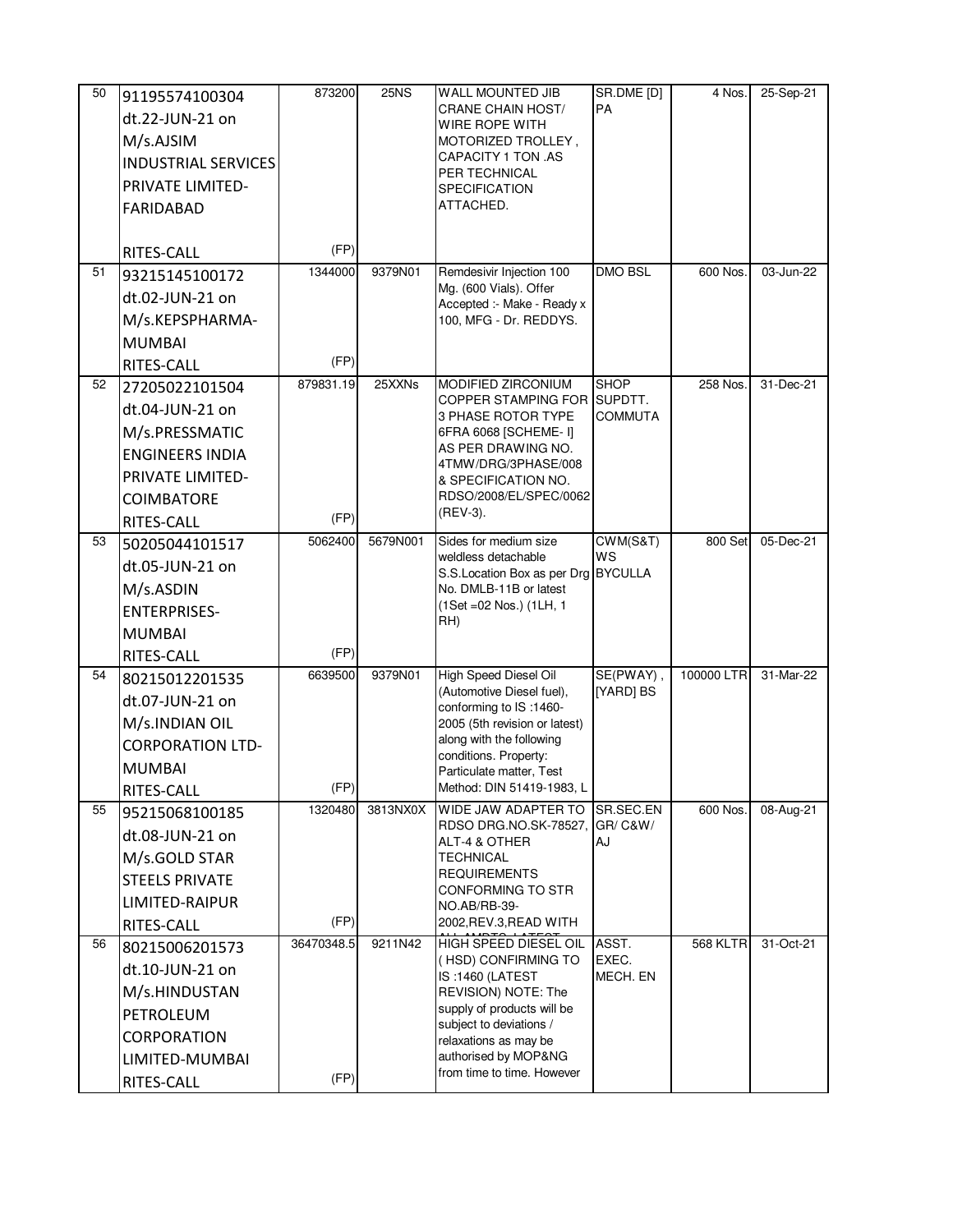| 50 | 91195574100304             | 873200     | <b>25NS</b> | WALL MOUNTED JIB                                          | SR.DME [D]             | 4 Nos.          | $25-Sep-21$ |
|----|----------------------------|------------|-------------|-----------------------------------------------------------|------------------------|-----------------|-------------|
|    | dt.22-JUN-21 on            |            |             | <b>CRANE CHAIN HOST/</b><br>WIRE ROPE WITH                | PA                     |                 |             |
|    | M/s.AJSIM                  |            |             | MOTORIZED TROLLEY,                                        |                        |                 |             |
|    | <b>INDUSTRIAL SERVICES</b> |            |             | CAPACITY 1 TON .AS                                        |                        |                 |             |
|    | PRIVATE LIMITED-           |            |             | PER TECHNICAL<br><b>SPECIFICATION</b>                     |                        |                 |             |
|    | FARIDABAD                  |            |             | ATTACHED.                                                 |                        |                 |             |
|    |                            |            |             |                                                           |                        |                 |             |
|    | RITES-CALL                 | (FP)       |             |                                                           |                        |                 |             |
| 51 | 93215145100172             | 1344000    | 9379N01     | Remdesivir Injection 100<br>Mg. (600 Vials). Offer        | <b>DMO BSL</b>         | 600 Nos.        | 03-Jun-22   |
|    | dt.02-JUN-21 on            |            |             | Accepted :- Make - Ready x                                |                        |                 |             |
|    | M/s.KEPSPHARMA-            |            |             | 100, MFG - Dr. REDDYS.                                    |                        |                 |             |
|    | <b>MUMBAI</b>              |            |             |                                                           |                        |                 |             |
|    | RITES-CALL                 | (FP)       |             |                                                           |                        |                 |             |
| 52 | 27205022101504             | 879831.19  | 25XXNs      | MODIFIED ZIRCONIUM<br>COPPER STAMPING FOR                 | <b>SHOP</b><br>SUPDTT. | $258$ Nos.      | 31-Dec-21   |
|    | dt.04-JUN-21 on            |            |             | 3 PHASE ROTOR TYPE                                        | COMMUTA                |                 |             |
|    | M/s.PRESSMATIC             |            |             | 6FRA 6068 [SCHEME- I]                                     |                        |                 |             |
|    | <b>ENGINEERS INDIA</b>     |            |             | AS PER DRAWING NO.<br>4TMW/DRG/3PHASE/008                 |                        |                 |             |
|    | PRIVATE LIMITED-           |            |             | & SPECIFICATION NO.                                       |                        |                 |             |
|    | <b>COIMBATORE</b>          |            |             | RDSO/2008/EL/SPEC/0062<br>(REV-3).                        |                        |                 |             |
|    | RITES-CALL                 | (FP)       |             |                                                           |                        |                 |             |
| 53 | 50205044101517             | 5062400    | 5679N001    | Sides for medium size<br>weldless detachable              | CWM(S&T)<br>WS         | 800 Set         | 05-Dec-21   |
|    | dt.05-JUN-21 on            |            |             | S.S. Location Box as per Drg BYCULLA                      |                        |                 |             |
|    | M/s.ASDIN                  |            |             | No. DMLB-11B or latest                                    |                        |                 |             |
|    | <b>ENTERPRISES-</b>        |            |             | (1Set = 02 Nos.) (1LH, 1<br>RH)                           |                        |                 |             |
|    | <b>MUMBAI</b>              |            |             |                                                           |                        |                 |             |
|    | RITES-CALL                 | (FP)       |             |                                                           |                        |                 |             |
| 54 | 80215012201535             | 6639500    | 9379N01     | <b>High Speed Diesel Oil</b><br>(Automotive Diesel fuel), | SE(PWAY),<br>[YARD] BS | 100000 LTR      | 31-Mar-22   |
|    | dt.07-JUN-21 on            |            |             | conforming to IS:1460-                                    |                        |                 |             |
|    | M/s.INDIAN OIL             |            |             | 2005 (5th revision or latest)                             |                        |                 |             |
|    | <b>CORPORATION LTD-</b>    |            |             | along with the following<br>conditions. Property:         |                        |                 |             |
|    | <b>MUMBAI</b>              |            |             | Particulate matter, Test                                  |                        |                 |             |
|    | RITES-CALL                 | (FP)       |             | Method: DIN 51419-1983, L                                 |                        |                 |             |
| 55 | 95215068100185             | 1320480    | 3813NX0X    | WIDE JAW ADAPTER TO<br>RDSO DRG.NO.SK-78527,              | SR.SEC.EN<br>GR/ C&W/  | 600 Nos.        | 08-Aug-21   |
|    | dt.08-JUN-21 on            |            |             | ALT-4 & OTHER                                             | AJ                     |                 |             |
|    | M/s.GOLD STAR              |            |             | TECHNICAL                                                 |                        |                 |             |
|    | <b>STEELS PRIVATE</b>      |            |             | <b>REQUIREMENTS</b><br>CONFORMING TO STR                  |                        |                 |             |
|    | LIMITED-RAIPUR             |            |             | NO.AB/RB-39-                                              |                        |                 |             |
|    | RITES-CALL                 | (FP)       |             | 2002, REV.3, READ WITH                                    |                        |                 |             |
| 56 | 80215006201573             | 36470348.5 | 9211N42     | HIGH SPEED DIESEL OIL<br>(HSD) CONFIRMING TO              | ASST.<br>EXEC.         | <b>568 KLTR</b> | 31-Oct-21   |
|    | dt.10-JUN-21 on            |            |             | IS:1460 (LATEST                                           | MECH. EN               |                 |             |
|    | M/s.HINDUSTAN              |            |             | REVISION) NOTE: The                                       |                        |                 |             |
|    | PETROLEUM                  |            |             | supply of products will be<br>subject to deviations /     |                        |                 |             |
|    | <b>CORPORATION</b>         |            |             | relaxations as may be                                     |                        |                 |             |
|    | LIMITED-MUMBAI             |            |             | authorised by MOP&NG<br>from time to time. However        |                        |                 |             |
|    | RITES-CALL                 | (FP)       |             |                                                           |                        |                 |             |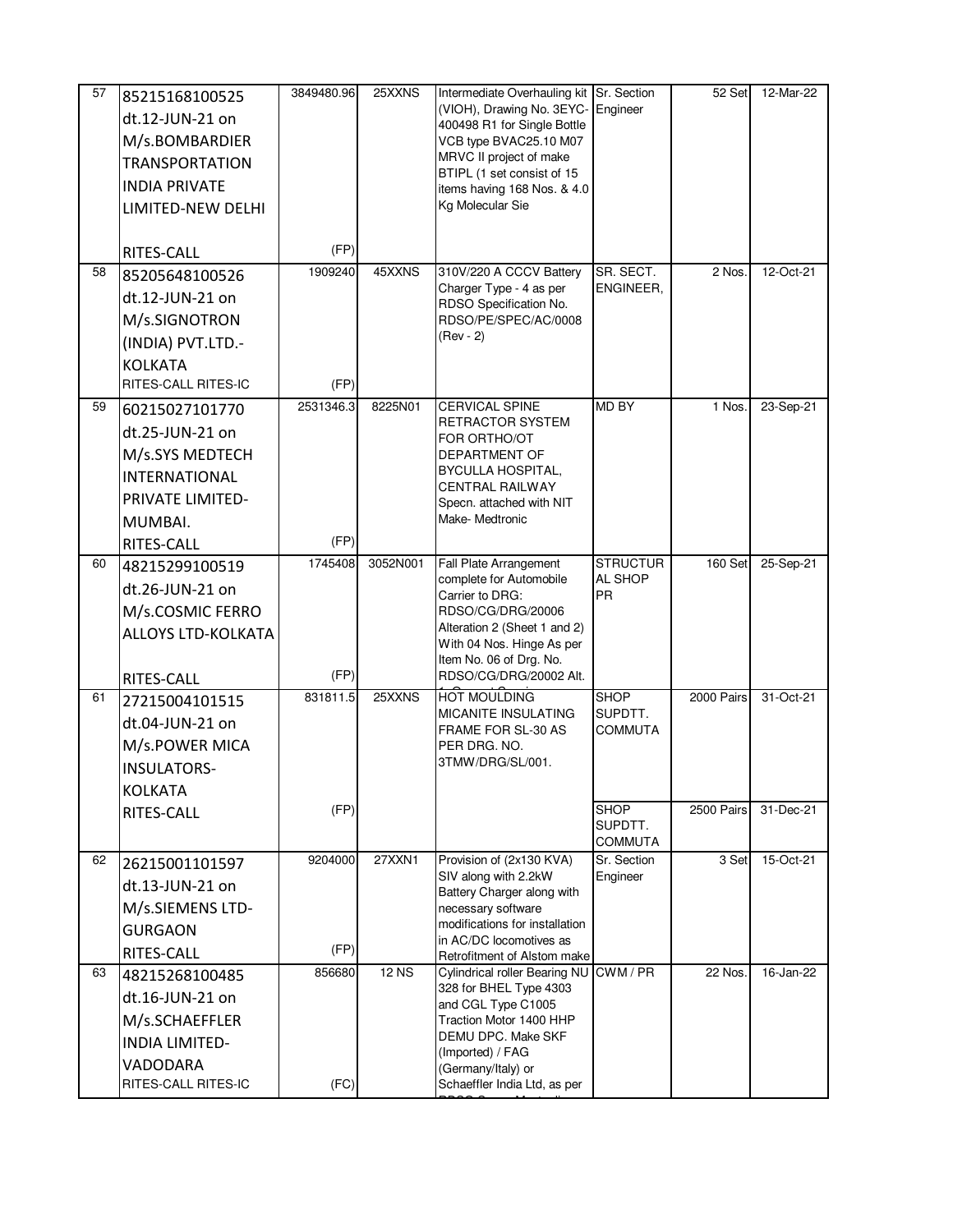| 57<br>58 | 85215168100525<br>dt.12-JUN-21 on<br>M/s.BOMBARDIER<br><b>TRANSPORTATION</b><br><b>INDIA PRIVATE</b><br>LIMITED-NEW DELHI<br>RITES-CALL<br>85205648100526 | 3849480.96<br>(FP)<br>1909240 | 25XXNS<br>45XXNS | Intermediate Overhauling kit Sr. Section<br>(VIOH), Drawing No. 3EYC- Engineer<br>400498 R1 for Single Bottle<br>VCB type BVAC25.10 M07<br>MRVC II project of make<br>BTIPL (1 set consist of 15<br>items having 168 Nos. & 4.0<br>Kg Molecular Sie<br>310V/220 A CCCV Battery | SR. SECT.                                | 52 Set<br>2 Nos. | 12-Mar-22<br>12-Oct-21 |
|----------|-----------------------------------------------------------------------------------------------------------------------------------------------------------|-------------------------------|------------------|--------------------------------------------------------------------------------------------------------------------------------------------------------------------------------------------------------------------------------------------------------------------------------|------------------------------------------|------------------|------------------------|
|          | dt.12-JUN-21 on<br>M/s.SIGNOTRON<br>(INDIA) PVT.LTD.-<br><b>KOLKATA</b><br>RITES-CALL RITES-IC                                                            | (FP)                          |                  | Charger Type - 4 as per<br>RDSO Specification No.<br>RDSO/PE/SPEC/AC/0008<br>$(Rev - 2)$                                                                                                                                                                                       | ENGINEER.                                |                  |                        |
| 59       | 60215027101770<br>dt.25-JUN-21 on<br>M/s.SYS MEDTECH<br><b>INTERNATIONAL</b><br>PRIVATE LIMITED-<br>MUMBAI.<br>RITES-CALL                                 | 2531346.3<br>(FP)             | 8225N01          | <b>CERVICAL SPINE</b><br>RETRACTOR SYSTEM<br>FOR ORTHO/OT<br>DEPARTMENT OF<br><b>BYCULLA HOSPITAL,</b><br>CENTRAL RAILWAY<br>Specn. attached with NIT<br>Make-Medtronic                                                                                                        | <b>MD BY</b>                             | 1 Nos.           | 23-Sep-21              |
| 60       | 48215299100519<br>dt.26-JUN-21 on<br>M/s.COSMIC FERRO<br><b>ALLOYS LTD-KOLKATA</b><br>RITES-CALL                                                          | 1745408<br>(FP)               | 3052N001         | Fall Plate Arrangement<br>complete for Automobile<br>Carrier to DRG:<br>RDSO/CG/DRG/20006<br>Alteration 2 (Sheet 1 and 2)<br>With 04 Nos. Hinge As per<br>Item No. 06 of Drg. No.<br>RDSO/CG/DRG/20002 Alt.                                                                    | <b>STRUCTUR</b><br>AL SHOP<br>PR         | 160 Set          | 25-Sep-21              |
| 61       | 27215004101515<br>dt.04-JUN-21 on<br>M/s.POWER MICA<br><b>INSULATORS-</b><br><b>KOLKATA</b>                                                               | 831811.5                      | 25XXNS           | HOT MOULDING<br><b>MICANITE INSULATING</b><br>FRAME FOR SL-30 AS<br>PER DRG. NO.<br>3TMW/DRG/SL/001.                                                                                                                                                                           | <b>SHOP</b><br>SUPDTT.<br><b>COMMUTA</b> | 2000 Pairs       | 31-Oct-21              |
|          | RITES-CALL                                                                                                                                                | (FP)                          |                  |                                                                                                                                                                                                                                                                                | <b>SHOP</b><br>SUPDTT.<br><b>COMMUTA</b> | 2500 Pairs       | 31-Dec-21              |
| 62       | 26215001101597<br>dt.13-JUN-21 on<br>M/s.SIEMENS LTD-<br><b>GURGAON</b><br>RITES-CALL                                                                     | 9204000<br>(FP)               | <b>27XXN1</b>    | Provision of (2x130 KVA)<br>SIV along with 2.2kW<br>Battery Charger along with<br>necessary software<br>modifications for installation<br>in AC/DC locomotives as<br>Retrofitment of Alstom make                                                                               | Sr. Section<br>Engineer                  | 3 Set            | 15-Oct-21              |
| 63       | 48215268100485<br>dt.16-JUN-21 on<br>M/s.SCHAEFFLER<br><b>INDIA LIMITED-</b><br>VADODARA<br>RITES-CALL RITES-IC                                           | 856680<br>(FC)                | <b>12 NS</b>     | Cylindrical roller Bearing NU<br>328 for BHEL Type 4303<br>and CGL Type C1005<br>Traction Motor 1400 HHP<br>DEMU DPC. Make SKF<br>(Imported) / FAG<br>(Germany/Italy) or<br>Schaeffler India Ltd, as per                                                                       | CWM/PR                                   | 22 Nos.          | 16-Jan-22              |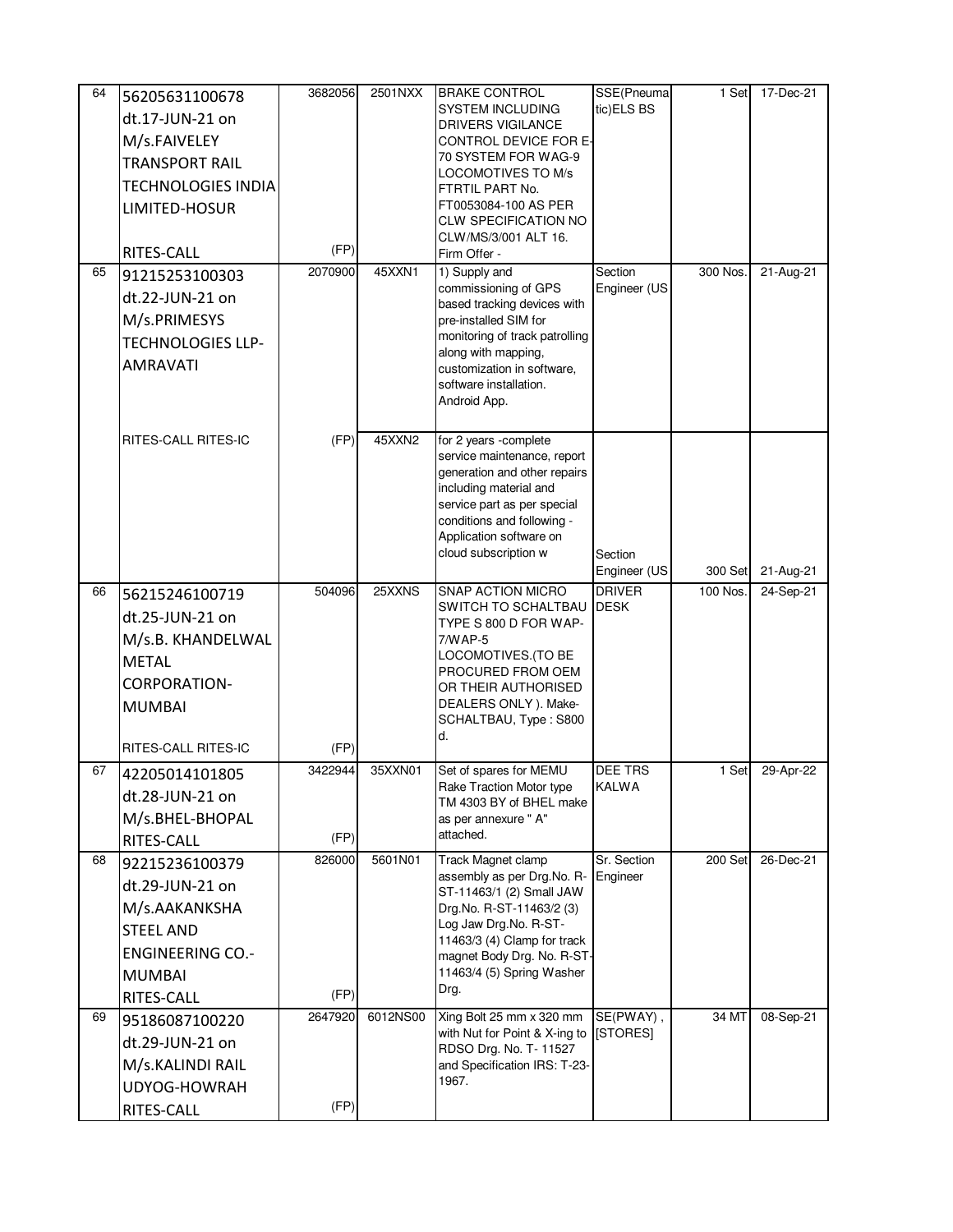| 64 | 56205631100678            | 3682056 | 2501NXX  | <b>BRAKE CONTROL</b>                                        | SSE(Pneuma              | 1 Set    | 17-Dec-21               |
|----|---------------------------|---------|----------|-------------------------------------------------------------|-------------------------|----------|-------------------------|
|    | dt.17-JUN-21 on           |         |          | SYSTEM INCLUDING                                            | tic)ELS BS              |          |                         |
|    | M/s.FAIVELEY              |         |          | DRIVERS VIGILANCE<br>CONTROL DEVICE FOR E-                  |                         |          |                         |
|    | <b>TRANSPORT RAIL</b>     |         |          | 70 SYSTEM FOR WAG-9                                         |                         |          |                         |
|    |                           |         |          | LOCOMOTIVES TO M/s                                          |                         |          |                         |
|    | <b>TECHNOLOGIES INDIA</b> |         |          | FTRTIL PART No.<br>FT0053084-100 AS PER                     |                         |          |                         |
|    | LIMITED-HOSUR             |         |          | CLW SPECIFICATION NO                                        |                         |          |                         |
|    |                           |         |          | CLW/MS/3/001 ALT 16.                                        |                         |          |                         |
|    | RITES-CALL                | (FP)    |          | Firm Offer -                                                |                         |          |                         |
| 65 | 91215253100303            | 2070900 | 45XXN1   | 1) Supply and<br>commissioning of GPS                       | Section<br>Engineer (US | 300 Nos  | $\overline{21}$ -Aug-21 |
|    | dt.22-JUN-21 on           |         |          | based tracking devices with                                 |                         |          |                         |
|    | M/s.PRIMESYS              |         |          | pre-installed SIM for                                       |                         |          |                         |
|    | <b>TECHNOLOGIES LLP-</b>  |         |          | monitoring of track patrolling                              |                         |          |                         |
|    | <b>AMRAVATI</b>           |         |          | along with mapping,<br>customization in software,           |                         |          |                         |
|    |                           |         |          | software installation.                                      |                         |          |                         |
|    |                           |         |          | Android App.                                                |                         |          |                         |
|    |                           |         |          |                                                             |                         |          |                         |
|    | RITES-CALL RITES-IC       | (FP)    | 45XXN2   | for 2 years -complete                                       |                         |          |                         |
|    |                           |         |          | service maintenance, report<br>generation and other repairs |                         |          |                         |
|    |                           |         |          | including material and                                      |                         |          |                         |
|    |                           |         |          | service part as per special                                 |                         |          |                         |
|    |                           |         |          | conditions and following -<br>Application software on       |                         |          |                         |
|    |                           |         |          | cloud subscription w                                        | Section                 |          |                         |
|    |                           |         |          |                                                             | Engineer (US            | 300 Set  | 21-Aug-21               |
| 66 | 56215246100719            | 504096  | 25XXNS   | SNAP ACTION MICRO                                           | <b>DRIVER</b>           | 100 Nos. | 24-Sep-21               |
|    | dt.25-JUN-21 on           |         |          | SWITCH TO SCHALTBAU                                         | <b>DESK</b>             |          |                         |
|    | M/s.B. KHANDELWAL         |         |          | TYPE S 800 D FOR WAP-<br>7/WAP-5                            |                         |          |                         |
|    | <b>METAL</b>              |         |          | LOCOMOTIVES.(TO BE                                          |                         |          |                         |
|    | <b>CORPORATION-</b>       |         |          | PROCURED FROM OEM                                           |                         |          |                         |
|    | <b>MUMBAI</b>             |         |          | OR THEIR AUTHORISED<br>DEALERS ONLY ). Make-                |                         |          |                         |
|    |                           |         |          | SCHALTBAU, Type: S800                                       |                         |          |                         |
|    | RITES-CALL RITES-IC       | (FP)    |          | d.                                                          |                         |          |                         |
| 67 | 42205014101805            | 3422944 | 35XXN01  | Set of spares for MEMU                                      | <b>DEE TRS</b>          | 1 Set    | 29-Apr-22               |
|    | dt.28-JUN-21 on           |         |          | Rake Traction Motor type                                    | KALWA                   |          |                         |
|    | M/s.BHEL-BHOPAL           |         |          | TM 4303 BY of BHEL make<br>as per annexure " A"             |                         |          |                         |
|    | RITES-CALL                | (FP)    |          | attached.                                                   |                         |          |                         |
| 68 | 92215236100379            | 826000  | 5601N01  | Track Magnet clamp                                          | Sr. Section             | 200 Set  | 26-Dec-21               |
|    |                           |         |          | assembly as per Drg.No. R-                                  | Engineer                |          |                         |
|    | dt.29-JUN-21 on           |         |          | ST-11463/1 (2) Small JAW                                    |                         |          |                         |
|    | M/s.AAKANKSHA             |         |          | Drg.No. R-ST-11463/2 (3)<br>Log Jaw Drg.No. R-ST-           |                         |          |                         |
|    | <b>STEEL AND</b>          |         |          | 11463/3 (4) Clamp for track                                 |                         |          |                         |
|    | <b>ENGINEERING CO.-</b>   |         |          | magnet Body Drg. No. R-ST-                                  |                         |          |                         |
|    | <b>MUMBAI</b>             |         |          | 11463/4 (5) Spring Washer<br>Drg.                           |                         |          |                         |
|    | RITES-CALL                | (FP)    |          |                                                             |                         |          |                         |
| 69 | 95186087100220            | 2647920 | 6012NS00 | Xing Bolt 25 mm x 320 mm<br>with Nut for Point & X-ing to   | SE(PWAY),<br>[STORES]   | 34 MT    | 08-Sep-21               |
|    | dt.29-JUN-21 on           |         |          | RDSO Drg. No. T- 11527                                      |                         |          |                         |
|    | M/s.KALINDI RAIL          |         |          | and Specification IRS: T-23-                                |                         |          |                         |
|    | UDYOG-HOWRAH              |         |          | 1967.                                                       |                         |          |                         |
|    | RITES-CALL                | (FP)    |          |                                                             |                         |          |                         |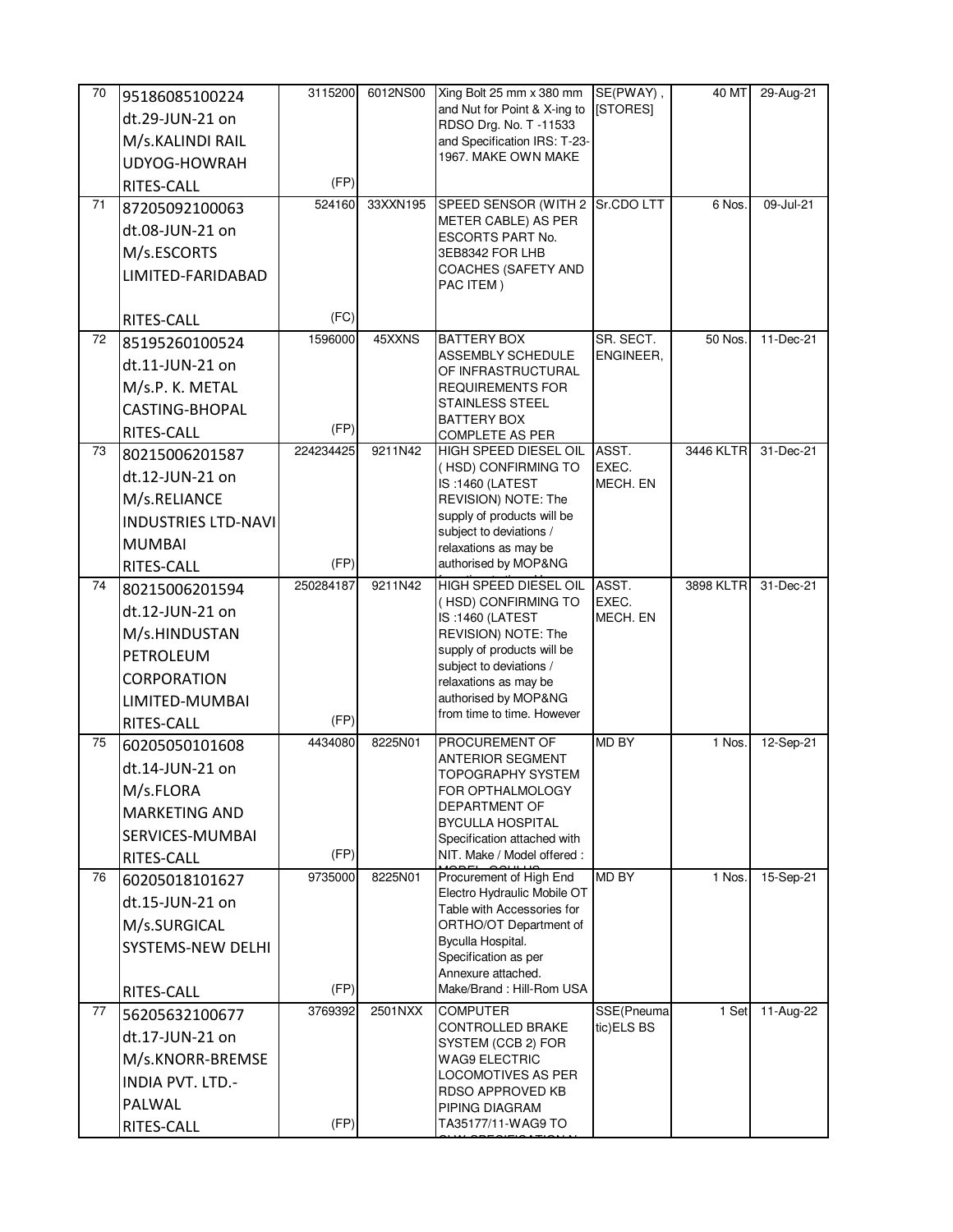| 70 | 95186085100224             | 3115200   | 6012NS00 | Xing Bolt 25 mm x 380 mm                               | SE(PWAY),                | 40 MT     | 29-Aug-21 |
|----|----------------------------|-----------|----------|--------------------------------------------------------|--------------------------|-----------|-----------|
|    | dt.29-JUN-21 on            |           |          | and Nut for Point & X-ing to<br>RDSO Drg. No. T -11533 | [STORES]                 |           |           |
|    | M/s.KALINDI RAIL           |           |          | and Specification IRS: T-23-                           |                          |           |           |
|    | UDYOG-HOWRAH               |           |          | 1967. MAKE OWN MAKE                                    |                          |           |           |
|    | RITES-CALL                 | (FP)      |          |                                                        |                          |           |           |
| 71 | 87205092100063             | 524160    | 33XXN195 | SPEED SENSOR (WITH 2 Sr.CDO LTT                        |                          | 6 Nos.    | 09-Jul-21 |
|    | dt.08-JUN-21 on            |           |          | METER CABLE) AS PER                                    |                          |           |           |
|    | M/s.ESCORTS                |           |          | <b>ESCORTS PART No.</b><br>3EB8342 FOR LHB             |                          |           |           |
|    | LIMITED-FARIDABAD          |           |          | COACHES (SAFETY AND                                    |                          |           |           |
|    |                            |           |          | PAC ITEM)                                              |                          |           |           |
|    | RITES-CALL                 | (FC)      |          |                                                        |                          |           |           |
| 72 | 85195260100524             | 1596000   | 45XXNS   | <b>BATTERY BOX</b><br>ASSEMBLY SCHEDULE                | SR. SECT.<br>ENGINEER,   | 50 Nos.   | 11-Dec-21 |
|    | dt.11-JUN-21 on            |           |          | OF INFRASTRUCTURAL                                     |                          |           |           |
|    | M/s.P. K. METAL            |           |          | <b>REQUIREMENTS FOR</b>                                |                          |           |           |
|    | <b>CASTING-BHOPAL</b>      |           |          | <b>STAINLESS STEEL</b><br>BATTERY BOX                  |                          |           |           |
|    | RITES-CALL                 | (FP)      |          | <b>COMPLETE AS PER</b>                                 |                          |           |           |
| 73 | 80215006201587             | 224234425 | 9211N42  | HIGH SPEED DIESEL OIL                                  | ASST.                    | 3446 KLTR | 31-Dec-21 |
|    | dt.12-JUN-21 on            |           |          | (HSD) CONFIRMING TO<br>IS:1460 (LATEST                 | EXEC.<br>MECH. EN        |           |           |
|    | M/s.RELIANCE               |           |          | REVISION) NOTE: The                                    |                          |           |           |
|    | <b>INDUSTRIES LTD-NAVI</b> |           |          | supply of products will be<br>subject to deviations /  |                          |           |           |
|    | <b>MUMBAI</b>              |           |          | relaxations as may be                                  |                          |           |           |
|    | RITES-CALL                 | (FP)      |          | authorised by MOP&NG                                   |                          |           |           |
| 74 | 80215006201594             | 250284187 | 9211N42  | HIGH SPEED DIESEL OIL                                  | ASST.                    | 3898 KLTR | 31-Dec-21 |
|    | dt.12-JUN-21 on            |           |          | (HSD) CONFIRMING TO<br>IS:1460 (LATEST                 | EXEC.<br>MECH. EN        |           |           |
|    | M/s.HINDUSTAN              |           |          | REVISION) NOTE: The                                    |                          |           |           |
|    | PETROLEUM                  |           |          | supply of products will be<br>subject to deviations /  |                          |           |           |
|    | <b>CORPORATION</b>         |           |          | relaxations as may be                                  |                          |           |           |
|    | LIMITED-MUMBAI             |           |          | authorised by MOP&NG                                   |                          |           |           |
|    | RITES-CALL                 | (FP)      |          | from time to time. However                             |                          |           |           |
| 75 | 60205050101608             | 4434080   | 8225N01  | PROCUREMENT OF                                         | MD BY                    | 1 Nos.    | 12-Sep-21 |
|    | dt.14-JUN-21 on            |           |          | <b>ANTERIOR SEGMENT</b><br><b>TOPOGRAPHY SYSTEM</b>    |                          |           |           |
|    | M/s.FLORA                  |           |          | FOR OPTHALMOLOGY                                       |                          |           |           |
|    | <b>MARKETING AND</b>       |           |          | DEPARTMENT OF<br><b>BYCULLA HOSPITAL</b>               |                          |           |           |
|    | SERVICES-MUMBAI            |           |          | Specification attached with                            |                          |           |           |
|    | RITES-CALL                 | (FP)      |          | NIT. Make / Model offered :                            |                          |           |           |
| 76 | 60205018101627             | 9735000   | 8225N01  | Procurement of High End<br>Electro Hydraulic Mobile OT | MD BY                    | 1 Nos.    | 15-Sep-21 |
|    | dt.15-JUN-21 on            |           |          | Table with Accessories for                             |                          |           |           |
|    | M/s.SURGICAL               |           |          | ORTHO/OT Department of                                 |                          |           |           |
|    | SYSTEMS-NEW DELHI          |           |          | Byculla Hospital.<br>Specification as per              |                          |           |           |
|    |                            |           |          | Annexure attached.                                     |                          |           |           |
|    | RITES-CALL                 | (FP)      |          | Make/Brand: Hill-Rom USA                               |                          |           |           |
| 77 | 56205632100677             | 3769392   | 2501NXX  | <b>COMPUTER</b><br>CONTROLLED BRAKE                    | SSE(Pneuma<br>tic)ELS BS | 1 Set     | 11-Aug-22 |
|    | dt.17-JUN-21 on            |           |          | SYSTEM (CCB 2) FOR                                     |                          |           |           |
|    | M/s.KNORR-BREMSE           |           |          | <b>WAG9 ELECTRIC</b>                                   |                          |           |           |
|    | INDIA PVT. LTD.-           |           |          | <b>LOCOMOTIVES AS PER</b><br>RDSO APPROVED KB          |                          |           |           |
|    | PALWAL                     |           |          | PIPING DIAGRAM                                         |                          |           |           |
|    | RITES-CALL                 | (FP)      |          | TA35177/11-WAG9 TO                                     |                          |           |           |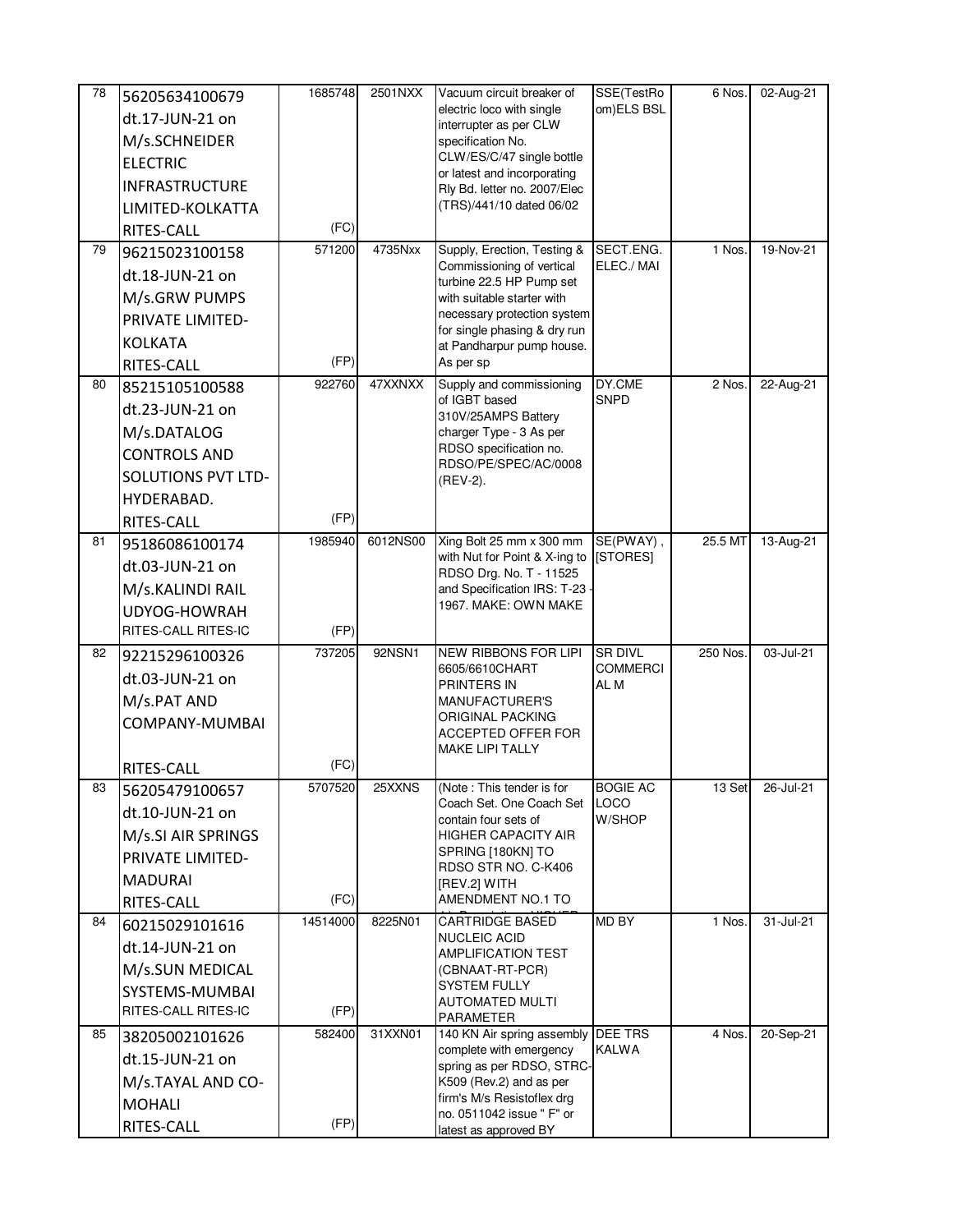| 78 | 56205634100679                          | 1685748  | 2501NXX  | Vacuum circuit breaker of                                   | SSE(TestRo      | 6 Nos.   | 02-Aug-21 |
|----|-----------------------------------------|----------|----------|-------------------------------------------------------------|-----------------|----------|-----------|
|    | dt.17-JUN-21 on                         |          |          | electric loco with single                                   | om)ELS BSL      |          |           |
|    | M/s.SCHNEIDER                           |          |          | interrupter as per CLW<br>specification No.                 |                 |          |           |
|    | <b>ELECTRIC</b>                         |          |          | CLW/ES/C/47 single bottle                                   |                 |          |           |
|    | <b>INFRASTRUCTURE</b>                   |          |          | or latest and incorporating<br>Rly Bd. letter no. 2007/Elec |                 |          |           |
|    | LIMITED-KOLKATTA                        |          |          | (TRS)/441/10 dated 06/02                                    |                 |          |           |
|    | RITES-CALL                              | (FC)     |          |                                                             |                 |          |           |
| 79 | 96215023100158                          | 571200   | 4735Nxx  | Supply, Erection, Testing &                                 | SECT.ENG.       | 1 Nos.   | 19-Nov-21 |
|    | dt.18-JUN-21 on                         |          |          | Commissioning of vertical                                   | ELEC./ MAI      |          |           |
|    | M/s.GRW PUMPS                           |          |          | turbine 22.5 HP Pump set<br>with suitable starter with      |                 |          |           |
|    | PRIVATE LIMITED-                        |          |          | necessary protection system                                 |                 |          |           |
|    | <b>KOLKATA</b>                          |          |          | for single phasing & dry run                                |                 |          |           |
|    | RITES-CALL                              | (FP)     |          | at Pandharpur pump house.<br>As per sp                      |                 |          |           |
| 80 | 85215105100588                          | 922760   | 47XXNXX  | Supply and commissioning                                    | DY.CME          | 2 Nos.   | 22-Aug-21 |
|    | dt.23-JUN-21 on                         |          |          | of IGBT based                                               | <b>SNPD</b>     |          |           |
|    | M/s.DATALOG                             |          |          | 310V/25AMPS Battery<br>charger Type - 3 As per              |                 |          |           |
|    | <b>CONTROLS AND</b>                     |          |          | RDSO specification no.                                      |                 |          |           |
|    | <b>SOLUTIONS PVT LTD-</b>               |          |          | RDSO/PE/SPEC/AC/0008                                        |                 |          |           |
|    | HYDERABAD.                              |          |          | (REV-2).                                                    |                 |          |           |
|    | RITES-CALL                              | (FP)     |          |                                                             |                 |          |           |
| 81 | 95186086100174                          | 1985940  | 6012NS00 | Xing Bolt 25 mm x 300 mm                                    | SE(PWAY),       | 25.5 MT  | 13-Aug-21 |
|    | dt.03-JUN-21 on                         |          |          | with Nut for Point & X-ing to                               | [STORES]        |          |           |
|    |                                         |          |          | RDSO Drg. No. T - 11525                                     |                 |          |           |
|    | M/s.KALINDI RAIL<br><b>UDYOG-HOWRAH</b> |          |          | and Specification IRS: T-23<br>1967. MAKE: OWN MAKE         |                 |          |           |
|    | RITES-CALL RITES-IC                     | (FP)     |          |                                                             |                 |          |           |
| 82 | 92215296100326                          | 737205   | 92NSN1   | <b>NEW RIBBONS FOR LIPI</b>                                 | <b>SR DIVL</b>  | 250 Nos. | 03-Jul-21 |
|    | dt.03-JUN-21 on                         |          |          | 6605/6610CHART                                              | <b>COMMERCI</b> |          |           |
|    | M/s.PAT AND                             |          |          | PRINTERS IN                                                 | AL M            |          |           |
|    | COMPANY-MUMBAI                          |          |          | MANUFACTURER'S<br>ORIGINAL PACKING                          |                 |          |           |
|    |                                         |          |          | ACCEPTED OFFER FOR                                          |                 |          |           |
|    | RITES-CALL                              | (FC)     |          | MAKE LIPI TALLY                                             |                 |          |           |
| 83 | 56205479100657                          | 5707520  | 25XXNS   | (Note: This tender is for                                   | <b>BOGIE AC</b> | 13 Set   | 26-Jul-21 |
|    | dt.10-JUN-21 on                         |          |          | Coach Set. One Coach Set                                    | LOCO            |          |           |
|    | M/s.SI AIR SPRINGS                      |          |          | contain four sets of<br><b>HIGHER CAPACITY AIR</b>          | W/SHOP          |          |           |
|    | PRIVATE LIMITED-                        |          |          | SPRING [180KN] TO                                           |                 |          |           |
|    | <b>MADURAI</b>                          |          |          | RDSO STR NO. C-K406                                         |                 |          |           |
|    | RITES-CALL                              | (FC)     |          | [REV.2] WITH<br>AMENDMENT NO.1 TO                           |                 |          |           |
| 84 | 60215029101616                          | 14514000 | 8225N01  | <b>CARTRIDGE BASED</b>                                      | MD BY           | 1 Nos.   | 31-Jul-21 |
|    | dt.14-JUN-21 on                         |          |          | <b>NUCLEIC ACID</b>                                         |                 |          |           |
|    | M/s.SUN MEDICAL                         |          |          | <b>AMPLIFICATION TEST</b><br>(CBNAAT-RT-PCR)                |                 |          |           |
|    | SYSTEMS-MUMBAI                          |          |          | <b>SYSTEM FULLY</b>                                         |                 |          |           |
|    | RITES-CALL RITES-IC                     | (FP)     |          | AUTOMATED MULTI<br>PARAMETER                                |                 |          |           |
| 85 | 38205002101626                          | 582400   | 31XXN01  | 140 KN Air spring assembly DEE TRS                          |                 | 4 Nos.   | 20-Sep-21 |
|    | dt.15-JUN-21 on                         |          |          | complete with emergency<br>spring as per RDSO, STRC-        | <b>KALWA</b>    |          |           |
|    | M/s.TAYAL AND CO-                       |          |          | K509 (Rev.2) and as per                                     |                 |          |           |
|    | <b>MOHALI</b>                           |          |          | firm's M/s Resistoflex drg                                  |                 |          |           |
|    | RITES-CALL                              | (FP)     |          | no. 0511042 issue " F" or<br>latest as approved BY          |                 |          |           |
|    |                                         |          |          |                                                             |                 |          |           |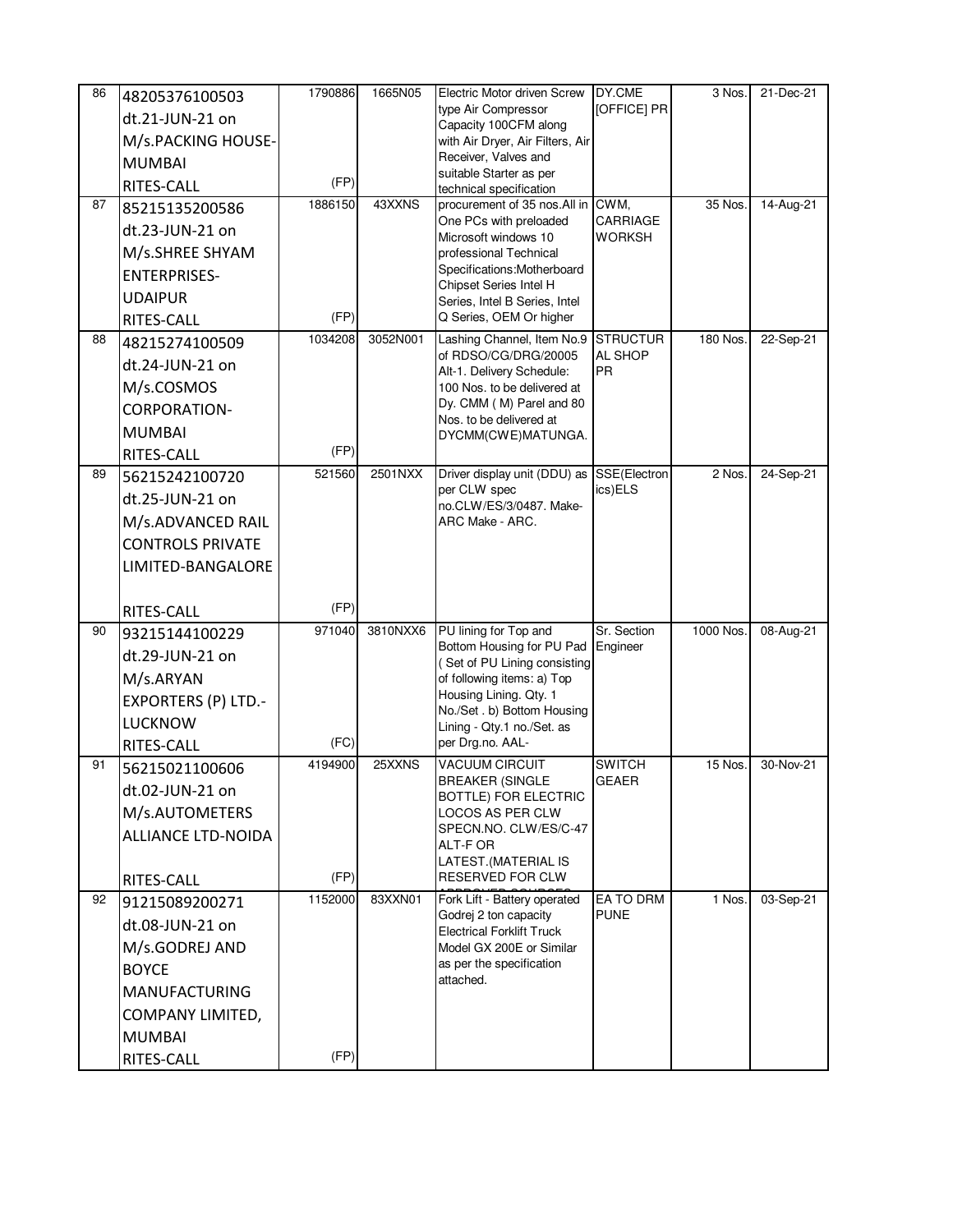| 86 | 48205376100503               | 1790886 | 1665N05  | Electric Motor driven Screw                              | DY.CME                        | 3 Nos.    | 21-Dec-21 |
|----|------------------------------|---------|----------|----------------------------------------------------------|-------------------------------|-----------|-----------|
|    | dt.21-JUN-21 on              |         |          | type Air Compressor<br>Capacity 100CFM along             | [OFFICE] PR                   |           |           |
|    | M/s.PACKING HOUSE-           |         |          | with Air Dryer, Air Filters, Air                         |                               |           |           |
|    | <b>MUMBAI</b>                |         |          | Receiver, Valves and                                     |                               |           |           |
|    | RITES-CALL                   | (FP)    |          | suitable Starter as per<br>technical specification       |                               |           |           |
| 87 | 85215135200586               | 1886150 | 43XXNS   | procurement of 35 nos. All in                            | CWM,                          | 35 Nos.   | 14-Aug-21 |
|    | dt.23-JUN-21 on              |         |          | One PCs with preloaded                                   | CARRIAGE                      |           |           |
|    | M/s.SHREE SHYAM              |         |          | Microsoft windows 10<br>professional Technical           | <b>WORKSH</b>                 |           |           |
|    | <b>ENTERPRISES-</b>          |         |          | Specifications:Motherboard                               |                               |           |           |
|    | <b>UDAIPUR</b>               |         |          | Chipset Series Intel H                                   |                               |           |           |
|    | RITES-CALL                   | (FP)    |          | Series, Intel B Series, Intel<br>Q Series, OEM Or higher |                               |           |           |
| 88 | 48215274100509               | 1034208 | 3052N001 | Lashing Channel, Item No.9                               | <b>STRUCTUR</b>               | 180 Nos.  | 22-Sep-21 |
|    | dt.24-JUN-21 on              |         |          | of RDSO/CG/DRG/20005                                     | AL SHOP                       |           |           |
|    | M/s.COSMOS                   |         |          | Alt-1. Delivery Schedule:<br>100 Nos. to be delivered at | PR                            |           |           |
|    | <b>CORPORATION-</b>          |         |          | Dy. CMM (M) Parel and 80                                 |                               |           |           |
|    |                              |         |          | Nos. to be delivered at                                  |                               |           |           |
|    | <b>MUMBAI</b>                | (FP)    |          | DYCMM(CWE)MATUNGA.                                       |                               |           |           |
| 89 | RITES-CALL<br>56215242100720 | 521560  | 2501NXX  | Driver display unit (DDU) as                             | SSE(Electron                  | 2 Nos.    | 24-Sep-21 |
|    |                              |         |          | per CLW spec                                             | ics)ELS                       |           |           |
|    | dt.25-JUN-21 on              |         |          | no.CLW/ES/3/0487. Make-                                  |                               |           |           |
|    | M/s.ADVANCED RAIL            |         |          | ARC Make - ARC.                                          |                               |           |           |
|    | <b>CONTROLS PRIVATE</b>      |         |          |                                                          |                               |           |           |
|    | LIMITED-BANGALORE            |         |          |                                                          |                               |           |           |
|    |                              | (FP)    |          |                                                          |                               |           |           |
| 90 | RITES-CALL                   | 971040  | 3810NXX6 | PU lining for Top and                                    | Sr. Section                   | 1000 Nos. | 08-Aug-21 |
|    | 93215144100229               |         |          | Bottom Housing for PU Pad                                | Engineer                      |           |           |
|    | dt.29-JUN-21 on              |         |          | (Set of PU Lining consisting                             |                               |           |           |
|    | M/s.ARYAN                    |         |          | of following items: a) Top<br>Housing Lining. Qty. 1     |                               |           |           |
|    | <b>EXPORTERS (P) LTD.-</b>   |         |          | No./Set . b) Bottom Housing                              |                               |           |           |
|    | <b>LUCKNOW</b>               |         |          | Lining - Qty.1 no./Set. as                               |                               |           |           |
|    | RITES-CALL                   | (FC)    |          | per Drg.no. AAL-                                         |                               |           |           |
| 91 | 56215021100606               | 4194900 | 25XXNS   | <b>VACUUM CIRCUIT</b><br><b>BREAKER (SINGLE</b>          | <b>SWITCH</b><br><b>GEAER</b> | 15 Nos.   | 30-Nov-21 |
|    | dt.02-JUN-21 on              |         |          | <b>BOTTLE) FOR ELECTRIC</b>                              |                               |           |           |
|    | M/s.AUTOMETERS               |         |          | LOCOS AS PER CLW<br>SPECN.NO. CLW/ES/C-47                |                               |           |           |
|    | ALLIANCE LTD-NOIDA           |         |          | ALT-FOR                                                  |                               |           |           |
|    |                              |         |          | LATEST. (MATERIAL IS                                     |                               |           |           |
|    | RITES-CALL                   | (FP)    |          | RESERVED FOR CLW                                         |                               |           |           |
| 92 | 91215089200271               | 1152000 | 83XXN01  | Fork Lift - Battery operated<br>Godrej 2 ton capacity    | EA TO DRM<br><b>PUNE</b>      | 1 Nos.    | 03-Sep-21 |
|    | dt.08-JUN-21 on              |         |          | <b>Electrical Forklift Truck</b>                         |                               |           |           |
|    | M/s.GODREJ AND               |         |          | Model GX 200E or Similar                                 |                               |           |           |
|    | <b>BOYCE</b>                 |         |          | as per the specification<br>attached.                    |                               |           |           |
|    | <b>MANUFACTURING</b>         |         |          |                                                          |                               |           |           |
|    | COMPANY LIMITED,             |         |          |                                                          |                               |           |           |
|    | <b>MUMBAI</b>                |         |          |                                                          |                               |           |           |
|    | RITES-CALL                   | (FP)    |          |                                                          |                               |           |           |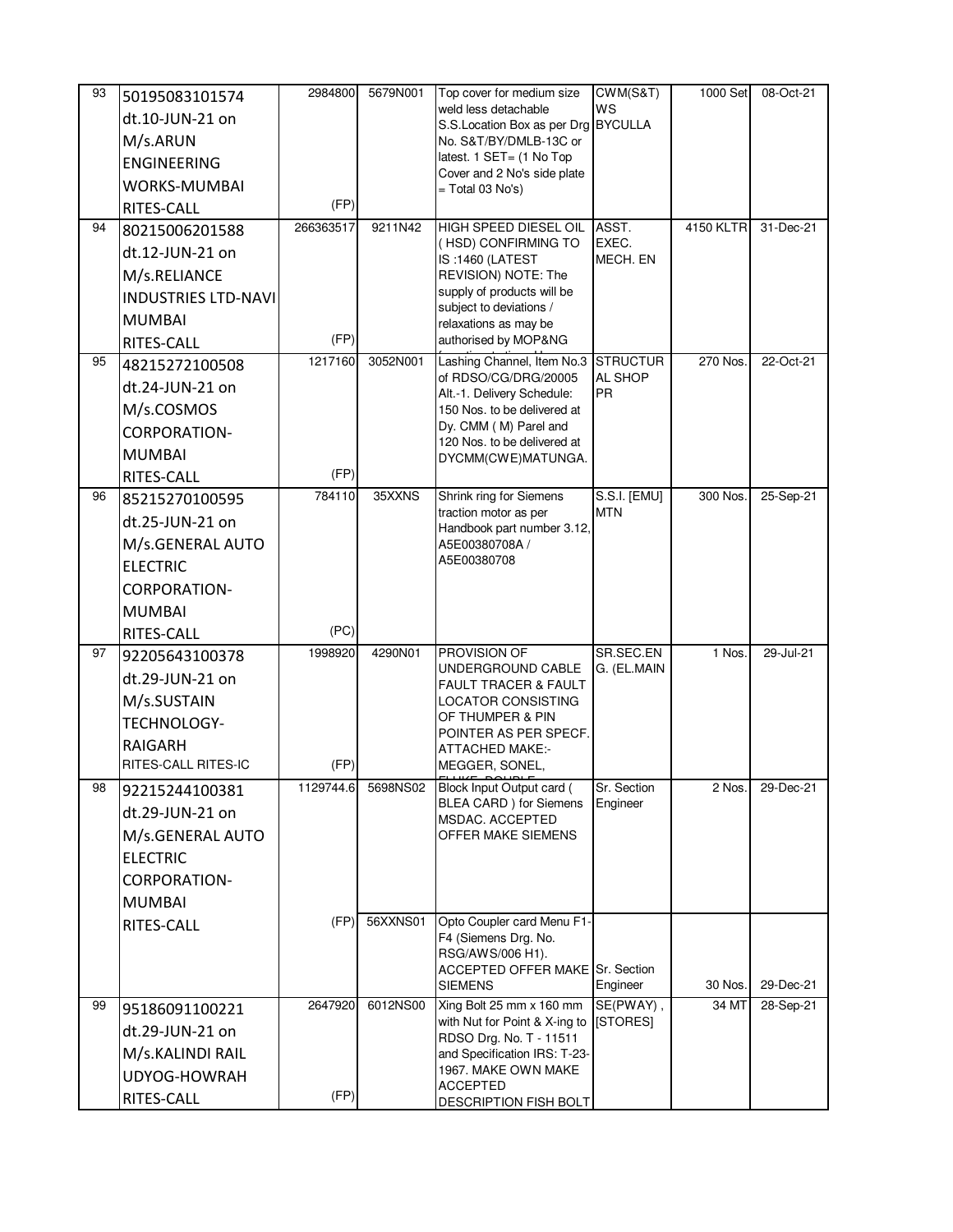| 93 | 50195083101574                        | 2984800   | 5679N001 | Top cover for medium size                                   | CWM(S&T)            | 1000 Set  | 08-Oct-21 |
|----|---------------------------------------|-----------|----------|-------------------------------------------------------------|---------------------|-----------|-----------|
|    | dt.10-JUN-21 on                       |           |          | weld less detachable<br>S.S.Location Box as per Drg BYCULLA | WS                  |           |           |
|    | M/s.ARUN                              |           |          | No. S&T/BY/DMLB-13C or                                      |                     |           |           |
|    | <b>ENGINEERING</b>                    |           |          | latest. 1 SET= (1 No Top                                    |                     |           |           |
|    | WORKS-MUMBAI                          |           |          | Cover and 2 No's side plate<br>$=$ Total 03 No's)           |                     |           |           |
|    | RITES-CALL                            | (FP)      |          |                                                             |                     |           |           |
| 94 | 80215006201588                        | 266363517 | 9211N42  | HIGH SPEED DIESEL OIL                                       | ASST.               | 4150 KLTR | 31-Dec-21 |
|    | dt.12-JUN-21 on                       |           |          | (HSD) CONFIRMING TO                                         | EXEC.               |           |           |
|    | M/s.RELIANCE                          |           |          | IS:1460 (LATEST<br>REVISION) NOTE: The                      | MECH. EN            |           |           |
|    | <b>INDUSTRIES LTD-NAVI</b>            |           |          | supply of products will be                                  |                     |           |           |
|    | <b>MUMBAI</b>                         |           |          | subject to deviations /                                     |                     |           |           |
|    | RITES-CALL                            | (FP)      |          | relaxations as may be<br>authorised by MOP&NG               |                     |           |           |
| 95 | 48215272100508                        | 1217160   | 3052N001 | Lashing Channel, Item No.3                                  | <b>STRUCTUR</b>     | 270 Nos.  | 22-Oct-21 |
|    | dt.24-JUN-21 on                       |           |          | of RDSO/CG/DRG/20005                                        | AL SHOP             |           |           |
|    | M/s.COSMOS                            |           |          | Alt.-1. Delivery Schedule:<br>150 Nos. to be delivered at   | <b>PR</b>           |           |           |
|    | <b>CORPORATION-</b>                   |           |          | Dy. CMM (M) Parel and                                       |                     |           |           |
|    | <b>MUMBAI</b>                         |           |          | 120 Nos. to be delivered at                                 |                     |           |           |
|    | RITES-CALL                            | (FP)      |          | DYCMM(CWE)MATUNGA.                                          |                     |           |           |
| 96 | 85215270100595                        | 784110    | 35XXNS   | Shrink ring for Siemens                                     | <b>S.S.I. [EMU]</b> | 300 Nos   | 25-Sep-21 |
|    | dt.25-JUN-21 on                       |           |          | traction motor as per                                       | <b>MTN</b>          |           |           |
|    | M/s.GENERAL AUTO                      |           |          | Handbook part number 3.12,<br>A5E00380708A /                |                     |           |           |
|    | <b>ELECTRIC</b>                       |           |          | A5E00380708                                                 |                     |           |           |
|    |                                       |           |          |                                                             |                     |           |           |
|    | <b>CORPORATION-</b>                   |           |          |                                                             |                     |           |           |
|    | <b>MUMBAI</b>                         | (PC)      |          |                                                             |                     |           |           |
| 97 | RITES-CALL                            | 1998920   | 4290N01  | PROVISION OF                                                | SR.SEC.EN           | 1 Nos.    | 29-Jul-21 |
|    | 92205643100378                        |           |          | UNDERGROUND CABLE                                           | G. (EL.MAIN         |           |           |
|    | dt.29-JUN-21 on                       |           |          | FAULT TRACER & FAULT                                        |                     |           |           |
|    | M/s.SUSTAIN                           |           |          | LOCATOR CONSISTING<br>OF THUMPER & PIN                      |                     |           |           |
|    | TECHNOLOGY-                           |           |          | POINTER AS PER SPECF.                                       |                     |           |           |
|    | <b>RAIGARH</b><br>RITES-CALL RITES-IC | (FP)      |          | <b>ATTACHED MAKE:-</b>                                      |                     |           |           |
| 98 |                                       | 1129744.6 | 5698NS02 | MEGGER, SONEL,<br>Block Input Output card (                 | Sr. Section         | 2 Nos.    | 29-Dec-21 |
|    | 92215244100381                        |           |          | <b>BLEA CARD</b> ) for Siemens                              | Engineer            |           |           |
|    | dt.29-JUN-21 on                       |           |          | MSDAC. ACCEPTED                                             |                     |           |           |
|    | M/s.GENERAL AUTO                      |           |          | OFFER MAKE SIEMENS                                          |                     |           |           |
|    | <b>ELECTRIC</b>                       |           |          |                                                             |                     |           |           |
|    | <b>CORPORATION-</b>                   |           |          |                                                             |                     |           |           |
|    | <b>MUMBAI</b>                         |           |          | Opto Coupler card Menu F1-                                  |                     |           |           |
|    | RITES-CALL                            | (FP)      | 56XXNS01 | F4 (Siemens Drg. No.                                        |                     |           |           |
|    |                                       |           |          | RSG/AWS/006 H1).                                            |                     |           |           |
|    |                                       |           |          | ACCEPTED OFFER MAKE Sr. Section<br>SIEMENS                  | Engineer            | 30 Nos.   | 29-Dec-21 |
| 99 | 95186091100221                        | 2647920   | 6012NS00 | Xing Bolt 25 mm x 160 mm                                    | SE(PWAY),           | 34 MT     | 28-Sep-21 |
|    | dt.29-JUN-21 on                       |           |          | with Nut for Point & X-ing to                               | [STORES]            |           |           |
|    | M/s.KALINDI RAIL                      |           |          | RDSO Drg. No. T - 11511<br>and Specification IRS: T-23-     |                     |           |           |
|    | UDYOG-HOWRAH                          |           |          | 1967. MAKE OWN MAKE                                         |                     |           |           |
|    | RITES-CALL                            | (FP)      |          | <b>ACCEPTED</b>                                             |                     |           |           |
|    |                                       |           |          | DESCRIPTION FISH BOLT                                       |                     |           |           |